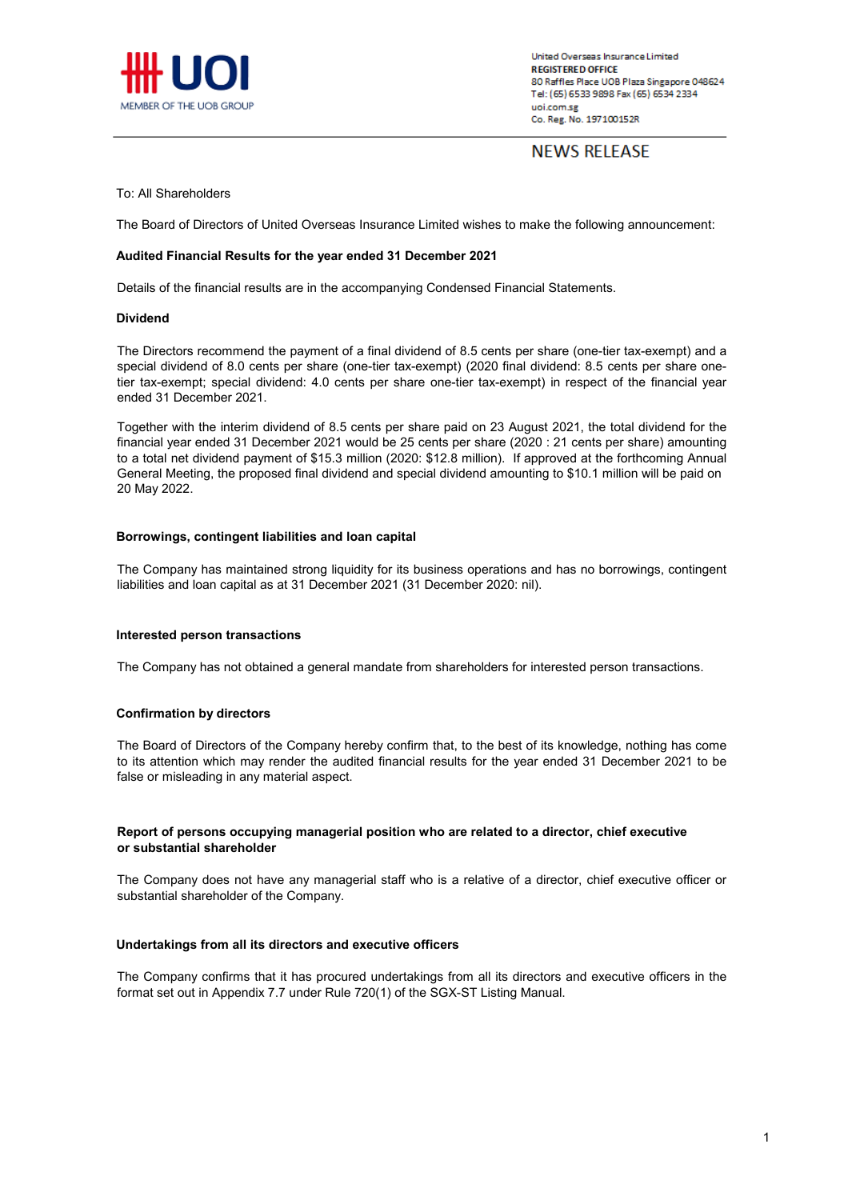

# **NEWS RELEASE**

#### To: All Shareholders

The Board of Directors of United Overseas Insurance Limited wishes to make the following announcement:

#### **Audited Financial Results for the year ended 31 December 2021**

Details of the financial results are in the accompanying Condensed Financial Statements.

#### **Dividend**

The Directors recommend the payment of a final dividend of 8.5 cents per share (one-tier tax-exempt) and a special dividend of 8.0 cents per share (one-tier tax-exempt) (2020 final dividend: 8.5 cents per share onetier tax-exempt; special dividend: 4.0 cents per share one-tier tax-exempt) in respect of the financial year ended 31 December 2021.

Together with the interim dividend of 8.5 cents per share paid on 23 August 2021, the total dividend for the financial year ended 31 December 2021 would be 25 cents per share (2020 : 21 cents per share) amounting to a total net dividend payment of \$15.3 million (2020: \$12.8 million). If approved at the forthcoming Annual General Meeting, the proposed final dividend and special dividend amounting to \$10.1 million will be paid on 20 May 2022.

#### **Borrowings, contingent liabilities and loan capital**

The Company has maintained strong liquidity for its business operations and has no borrowings, contingent liabilities and loan capital as at 31 December 2021 (31 December 2020: nil).

#### **Interested person transactions**

The Company has not obtained a general mandate from shareholders for interested person transactions.

#### **Confirmation by directors**

The Board of Directors of the Company hereby confirm that, to the best of its knowledge, nothing has come to its attention which may render the audited financial results for the year ended 31 December 2021 to be false or misleading in any material aspect.

#### **or substantial shareholder Report of persons occupying managerial position who are related to a director, chief executive**

The Company does not have any managerial staff who is a relative of a director, chief executive officer or substantial shareholder of the Company.

#### **Undertakings from all its directors and executive officers**

The Company confirms that it has procured undertakings from all its directors and executive officers in the format set out in Appendix 7.7 under Rule 720(1) of the SGX-ST Listing Manual.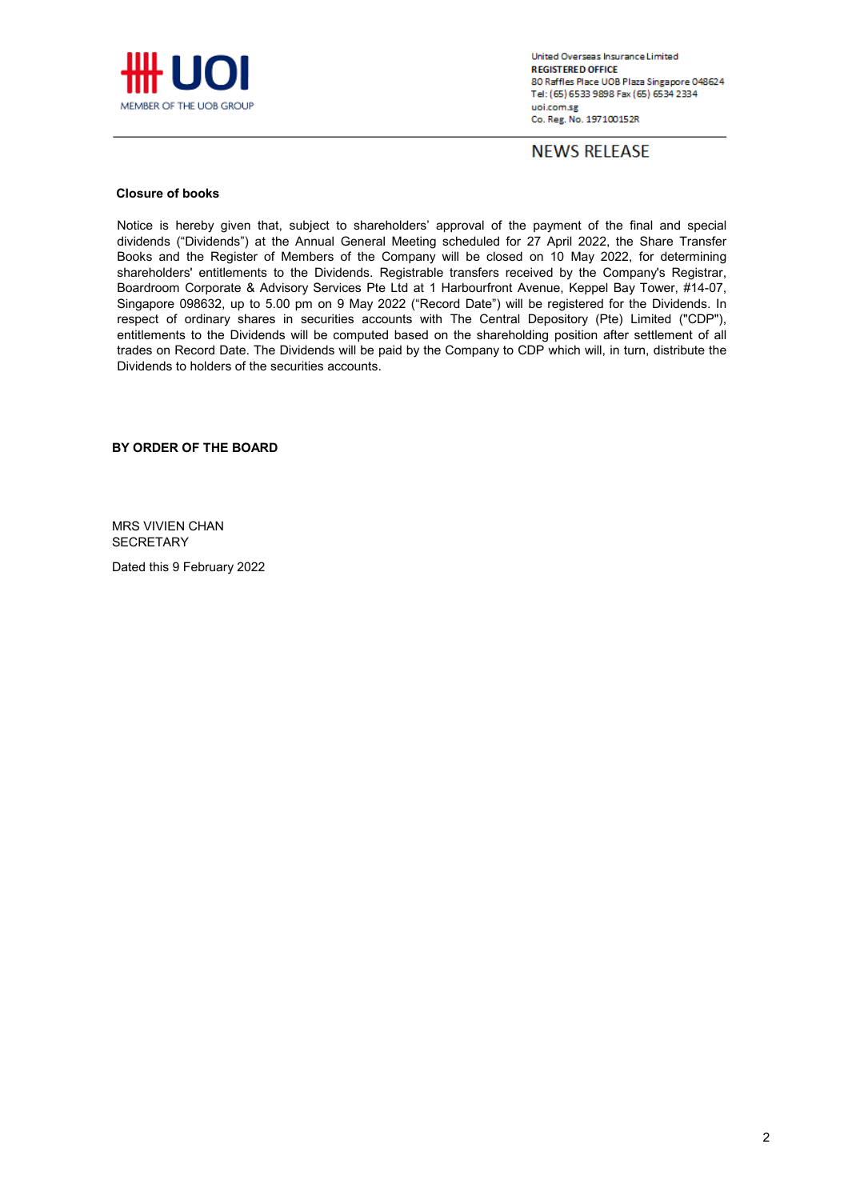

**NEWS RELEASE** 

### **Closure of books**

Notice is hereby given that, subject to shareholders' approval of the payment of the final and special dividends ("Dividends") at the Annual General Meeting scheduled for 27 April 2022, the Share Transfer Books and the Register of Members of the Company will be closed on 10 May 2022, for determining shareholders' entitlements to the Dividends. Registrable transfers received by the Company's Registrar, Boardroom Corporate & Advisory Services Pte Ltd at 1 Harbourfront Avenue, Keppel Bay Tower, #14-07, Singapore 098632, up to 5.00 pm on 9 May 2022 ("Record Date") will be registered for the Dividends. In respect of ordinary shares in securities accounts with The Central Depository (Pte) Limited ("CDP"), entitlements to the Dividends will be computed based on the shareholding position after settlement of all trades on Record Date. The Dividends will be paid by the Company to CDP which will, in turn, distribute the Dividends to holders of the securities accounts.

**BY ORDER OF THE BOARD**

MRS VIVIEN CHAN **SECRETARY** 

Dated this 9 February 2022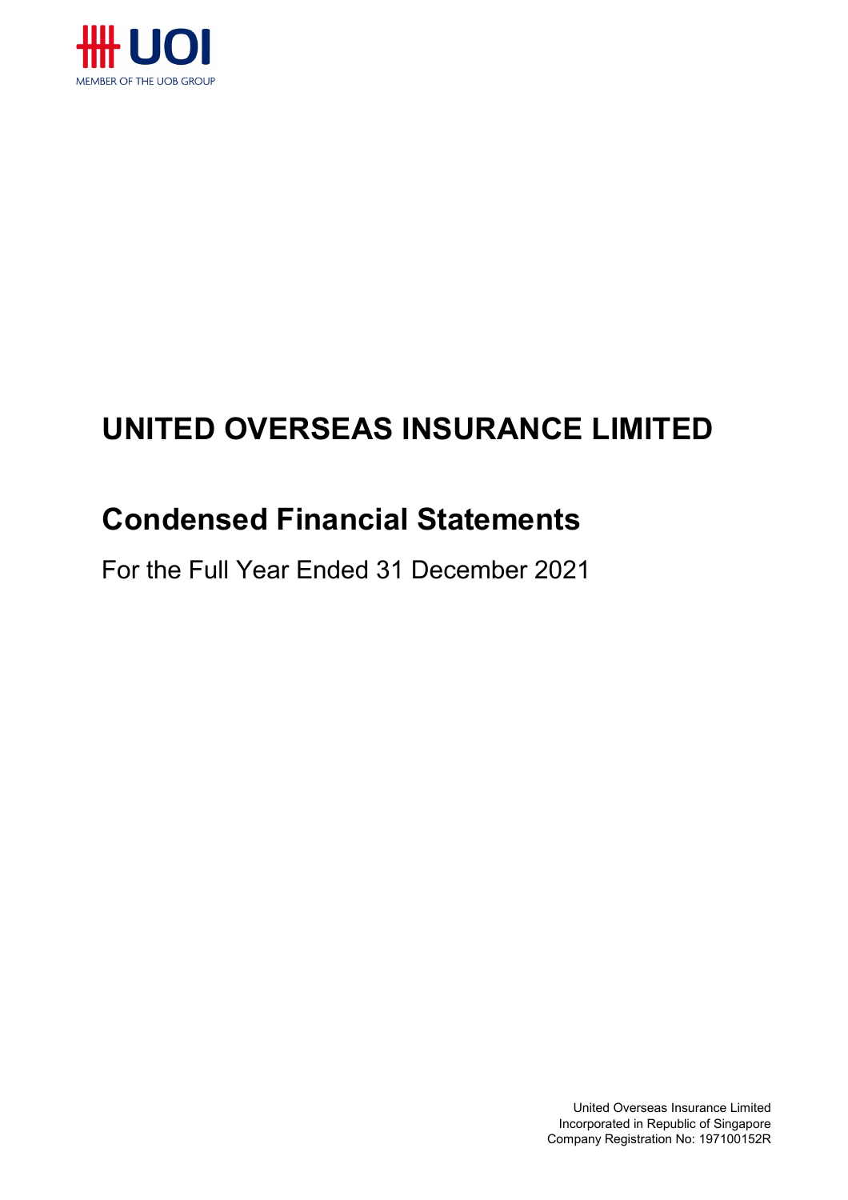

# **UNITED OVERSEAS INSURANCE LIMITED**

# **Condensed Financial Statements**

For the Full Year Ended 31 December 2021

United Overseas Insurance Limited Incorporated in Republic of Singapore Company Registration No: 197100152R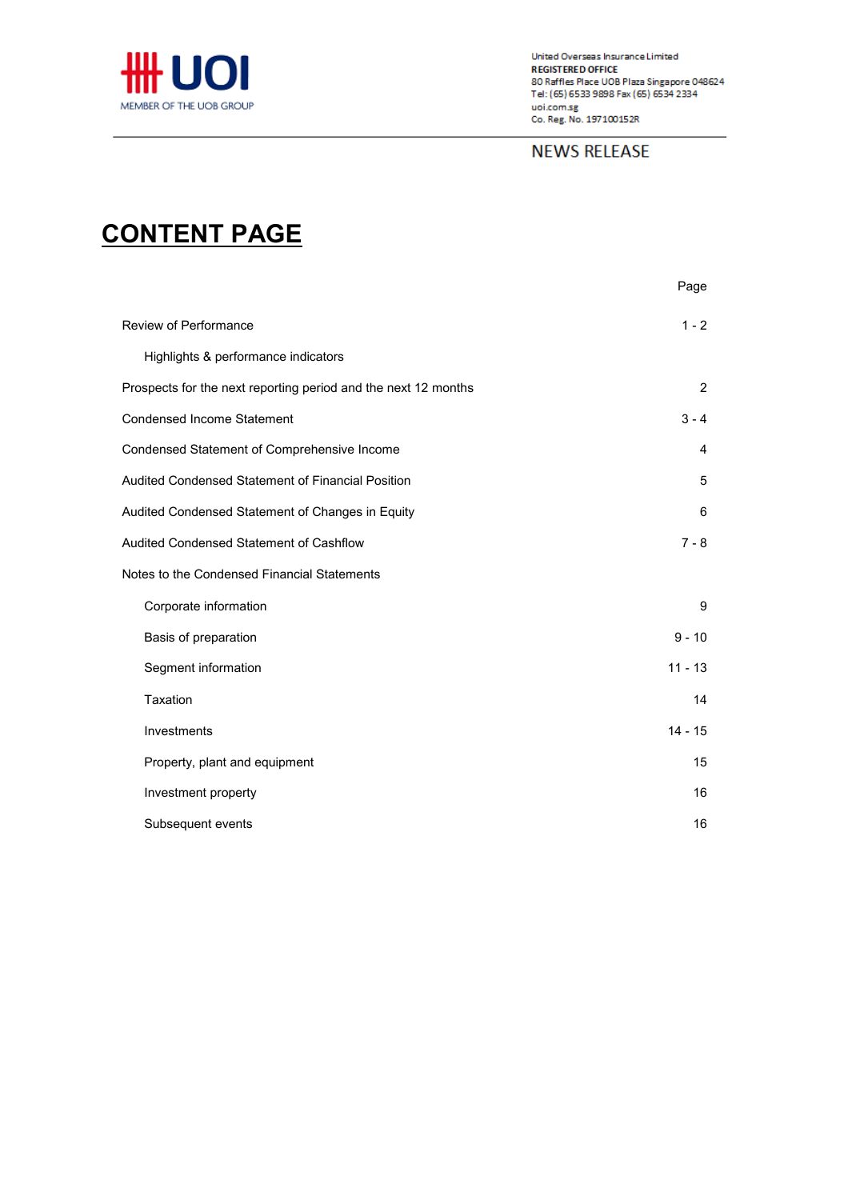

# **NEWS RELEASE**

# **CONTENT PAGE**

|                                                                | Page           |
|----------------------------------------------------------------|----------------|
| <b>Review of Performance</b>                                   | $1 - 2$        |
| Highlights & performance indicators                            |                |
| Prospects for the next reporting period and the next 12 months | $\overline{2}$ |
| <b>Condensed Income Statement</b>                              | $3 - 4$        |
| Condensed Statement of Comprehensive Income                    | 4              |
| Audited Condensed Statement of Financial Position              | 5              |
| Audited Condensed Statement of Changes in Equity               | 6              |
| Audited Condensed Statement of Cashflow                        | $7 - 8$        |
| Notes to the Condensed Financial Statements                    |                |
| Corporate information                                          | 9              |
| Basis of preparation                                           | $9 - 10$       |
| Segment information                                            | $11 - 13$      |
| Taxation                                                       | 14             |
| Investments                                                    | $14 - 15$      |
| Property, plant and equipment                                  | 15             |
| Investment property                                            | 16             |
| Subsequent events                                              | 16             |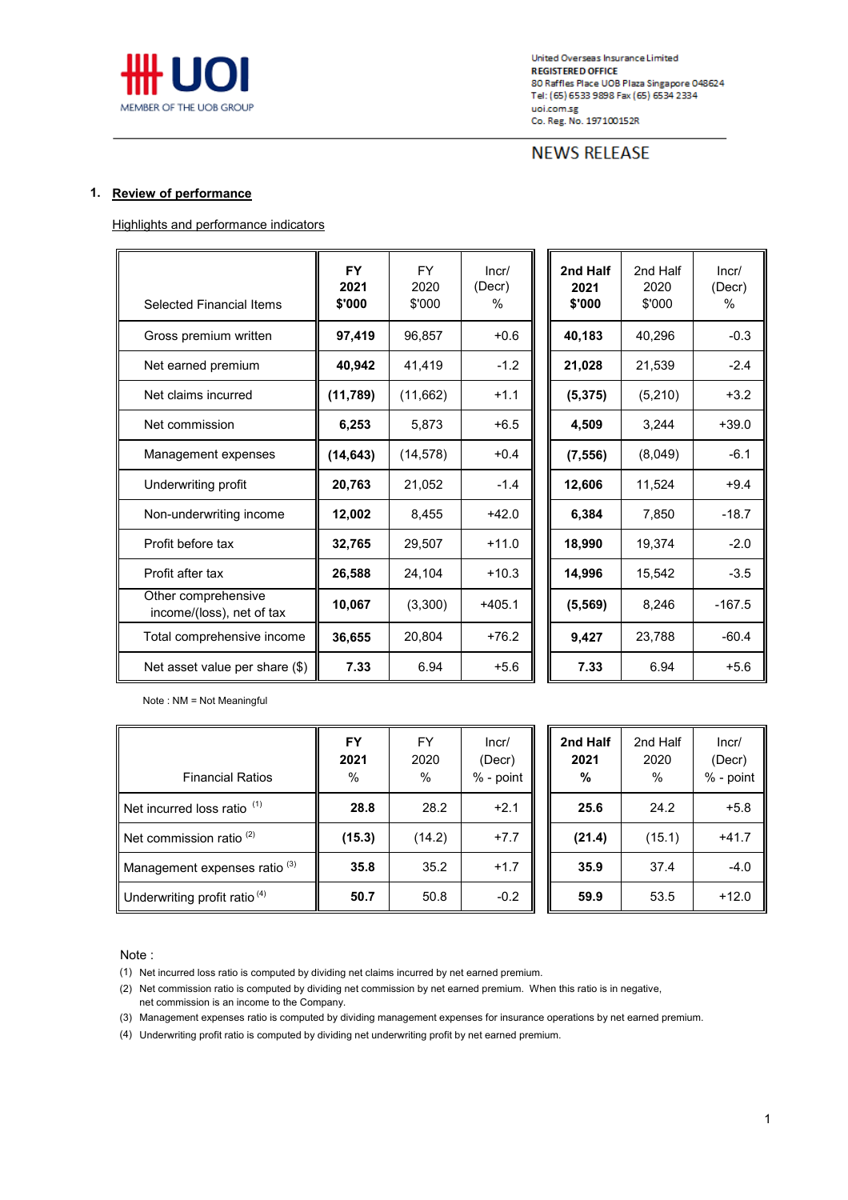

# **NEWS RELEASE**

### **1. Review of performance**

Highlights and performance indicators

| <b>Selected Financial Items</b>                  | <b>FY</b><br>2021<br>\$'000 | <b>FY</b><br>2020<br>\$'000 | Incr/<br>(Decr)<br>% | 2nd Half<br>2021<br>\$'000 | 2nd Half<br>2020<br>\$'000 | Incr/<br>(Decr)<br>% |
|--------------------------------------------------|-----------------------------|-----------------------------|----------------------|----------------------------|----------------------------|----------------------|
| Gross premium written                            | 97,419                      | 96,857                      | $+0.6$               | 40,183                     | 40,296                     | $-0.3$               |
| Net earned premium                               | 40,942                      | 41,419                      | $-1.2$               | 21,028                     | 21,539                     | $-2.4$               |
| Net claims incurred                              | (11, 789)                   | (11,662)                    | $+1.1$               | (5, 375)                   | (5, 210)                   | $+3.2$               |
| Net commission                                   | 6,253                       | 5,873                       | $+6.5$               | 4,509                      | 3,244                      | $+39.0$              |
| Management expenses                              | (14, 643)                   | (14, 578)                   | $+0.4$               | (7, 556)                   | (8,049)                    | $-6.1$               |
| Underwriting profit                              | 20,763                      | 21,052                      | $-1.4$               | 12,606                     | 11,524                     | $+9.4$               |
| Non-underwriting income                          | 12,002                      | 8,455                       | $+42.0$              | 6,384                      | 7,850                      | $-18.7$              |
| Profit before tax                                | 32,765                      | 29,507                      | $+11.0$              | 18,990                     | 19,374                     | $-2.0$               |
| Profit after tax                                 | 26,588                      | 24,104                      | $+10.3$              | 14,996                     | 15,542                     | $-3.5$               |
| Other comprehensive<br>income/(loss), net of tax | 10,067                      | (3,300)                     | $+405.1$             | (5, 569)                   | 8,246                      | $-167.5$             |
| Total comprehensive income                       | 36,655                      | 20,804                      | $+76.2$              | 9,427                      | 23,788                     | $-60.4$              |
| Net asset value per share (\$)                   | 7.33                        | 6.94                        | $+5.6$               | 7.33                       | 6.94                       | $+5.6$               |

| /וcr<br>er)<br>% | 2nd Half<br>2021<br>\$'000 | 2nd Half<br>2020<br>\$'000 | Incr/<br>(Decr)<br>% |
|------------------|----------------------------|----------------------------|----------------------|
| $+0.6$           | 40,183                     | 40,296                     | $-0.3$               |
| $-1.2$           | 21,028                     | 21,539                     | $-2.4$               |
| $+1.1$           | (5, 375)                   | (5, 210)                   | $+3.2$               |
| $+6.5$           | 4,509                      | 3,244                      | $+39.0$              |
| $+0.4$           | (7, 556)                   | (8,049)                    | $-6.1$               |
| $-1.4$           | 12,606                     | 11,524                     | $+9.4$               |
| $-42.0$          | 6,384                      | 7,850                      | $-18.7$              |
| $-11.0$          | 18,990                     | 19,374                     | $-2.0$               |
| $-10.3$          | 14,996                     | 15,542                     | $-3.5$               |
| <b>05.1</b>      | (5, 569)                   | 8,246                      | $-167.5$             |
| -76.2            | 9,427                      | 23,788                     | $-60.4$              |
| $+5.6$           | 7.33                       | 6.94                       | +5.6                 |

Note : NM = Not Meaningful

| <b>Financial Ratios</b>                  | <b>FY</b><br>2021<br>% | FY<br>2020<br>% | Incr/<br>(Decr)<br>% - point | 2nd Half<br>2021<br>% | 2nd Half<br>2020<br>% | Incr/<br>(Decr)<br>% - point |
|------------------------------------------|------------------------|-----------------|------------------------------|-----------------------|-----------------------|------------------------------|
| Net incurred loss ratio <sup>(1)</sup>   | 28.8                   | 28.2            | $+2.1$                       | 25.6                  | 24.2                  | $+5.8$                       |
| Net commission ratio $(2)$               | (15.3)                 | (14.2)          | $+7.7$                       | (21.4)                | (15.1)                | $+41.7$                      |
| Management expenses ratio <sup>(3)</sup> | 35.8                   | 35.2            | $+1.7$                       | 35.9                  | 37.4                  | $-4.0$                       |
| Underwriting profit ratio <sup>(4)</sup> | 50.7                   | 50.8            | $-0.2$                       | 59.9                  | 53.5                  | $+12.0$                      |

#### Note :

(1) Net incurred loss ratio is computed by dividing net claims incurred by net earned premium.

(2) Net commission ratio is computed by dividing net commission by net earned premium. When this ratio is in negative,

net commission is an income to the Company.

(3) Management expenses ratio is computed by dividing management expenses for insurance operations by net earned premium.

(4) Underwriting profit ratio is computed by dividing net underwriting profit by net earned premium.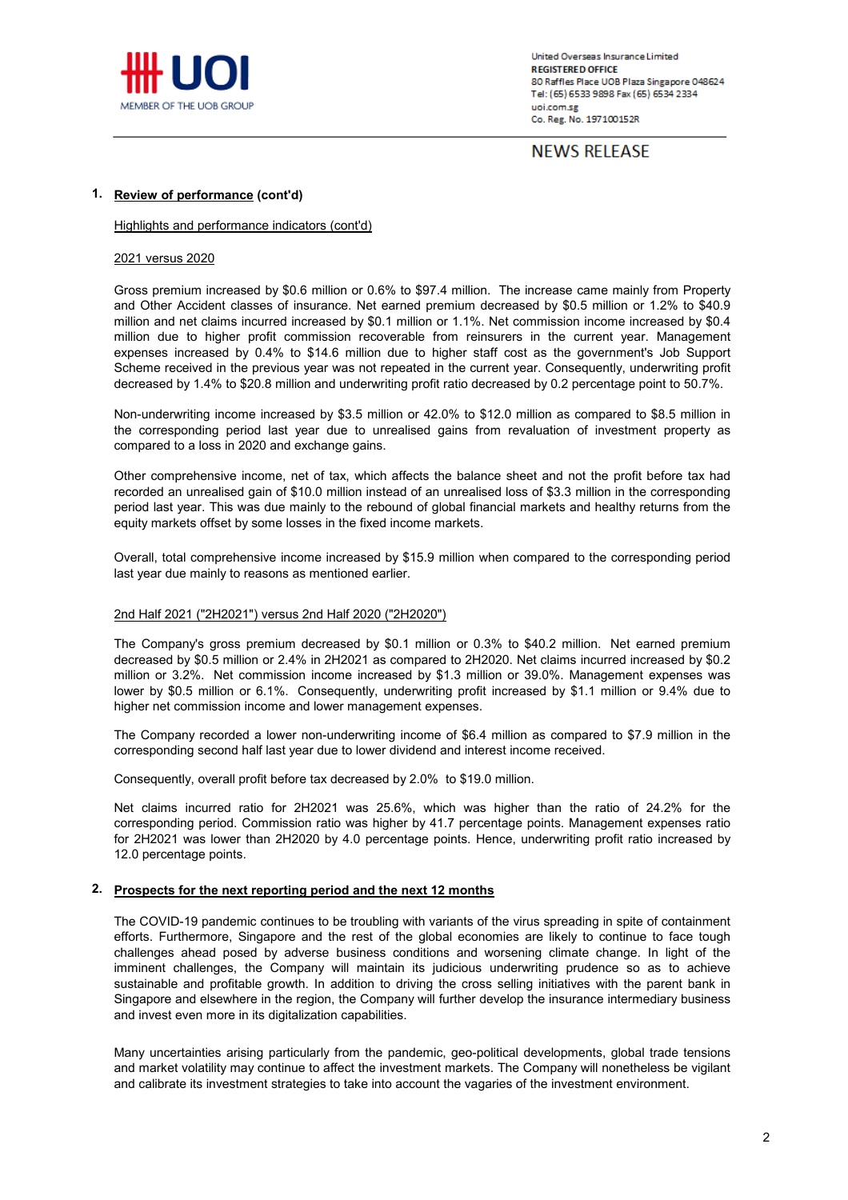

**NEWS RELEASE** 

#### **1. Review of performance (cont'd)**

#### Highlights and performance indicators (cont'd)

#### 2021 versus 2020

Gross premium increased by \$0.6 million or 0.6% to \$97.4 million. The increase came mainly from Property and Other Accident classes of insurance. Net earned premium decreased by \$0.5 million or 1.2% to \$40.9 million and net claims incurred increased by \$0.1 million or 1.1%. Net commission income increased by \$0.4 million due to higher profit commission recoverable from reinsurers in the current year. Management expenses increased by 0.4% to \$14.6 million due to higher staff cost as the government's Job Support Scheme received in the previous year was not repeated in the current year. Consequently, underwriting profit decreased by 1.4% to \$20.8 million and underwriting profit ratio decreased by 0.2 percentage point to 50.7%.

Non-underwriting income increased by \$3.5 million or 42.0% to \$12.0 million as compared to \$8.5 million in the corresponding period last year due to unrealised gains from revaluation of investment property as compared to a loss in 2020 and exchange gains.

Other comprehensive income, net of tax, which affects the balance sheet and not the profit before tax had recorded an unrealised gain of \$10.0 million instead of an unrealised loss of \$3.3 million in the corresponding period last year. This was due mainly to the rebound of global financial markets and healthy returns from the equity markets offset by some losses in the fixed income markets.

Overall, total comprehensive income increased by \$15.9 million when compared to the corresponding period last year due mainly to reasons as mentioned earlier.

#### 2nd Half 2021 ("2H2021") versus 2nd Half 2020 ("2H2020")

The Company's gross premium decreased by \$0.1 million or 0.3% to \$40.2 million. Net earned premium decreased by \$0.5 million or 2.4% in 2H2021 as compared to 2H2020. Net claims incurred increased by \$0.2 million or 3.2%. Net commission income increased by \$1.3 million or 39.0%. Management expenses was lower by \$0.5 million or 6.1%. Consequently, underwriting profit increased by \$1.1 million or 9.4% due to higher net commission income and lower management expenses.

The Company recorded a lower non-underwriting income of \$6.4 million as compared to \$7.9 million in the corresponding second half last year due to lower dividend and interest income received.

Consequently, overall profit before tax decreased by 2.0% to \$19.0 million.

Net claims incurred ratio for 2H2021 was 25.6%, which was higher than the ratio of 24.2% for the corresponding period. Commission ratio was higher by 41.7 percentage points. Management expenses ratio for 2H2021 was lower than 2H2020 by 4.0 percentage points. Hence, underwriting profit ratio increased by 12.0 percentage points.

### **2. Prospects for the next reporting period and the next 12 months**

The COVID-19 pandemic continues to be troubling with variants of the virus spreading in spite of containment efforts. Furthermore, Singapore and the rest of the global economies are likely to continue to face tough challenges ahead posed by adverse business conditions and worsening climate change. In light of the imminent challenges, the Company will maintain its judicious underwriting prudence so as to achieve sustainable and profitable growth. In addition to driving the cross selling initiatives with the parent bank in Singapore and elsewhere in the region, the Company will further develop the insurance intermediary business and invest even more in its digitalization capabilities.

Many uncertainties arising particularly from the pandemic, geo-political developments, global trade tensions and market volatility may continue to affect the investment markets. The Company will nonetheless be vigilant and calibrate its investment strategies to take into account the vagaries of the investment environment.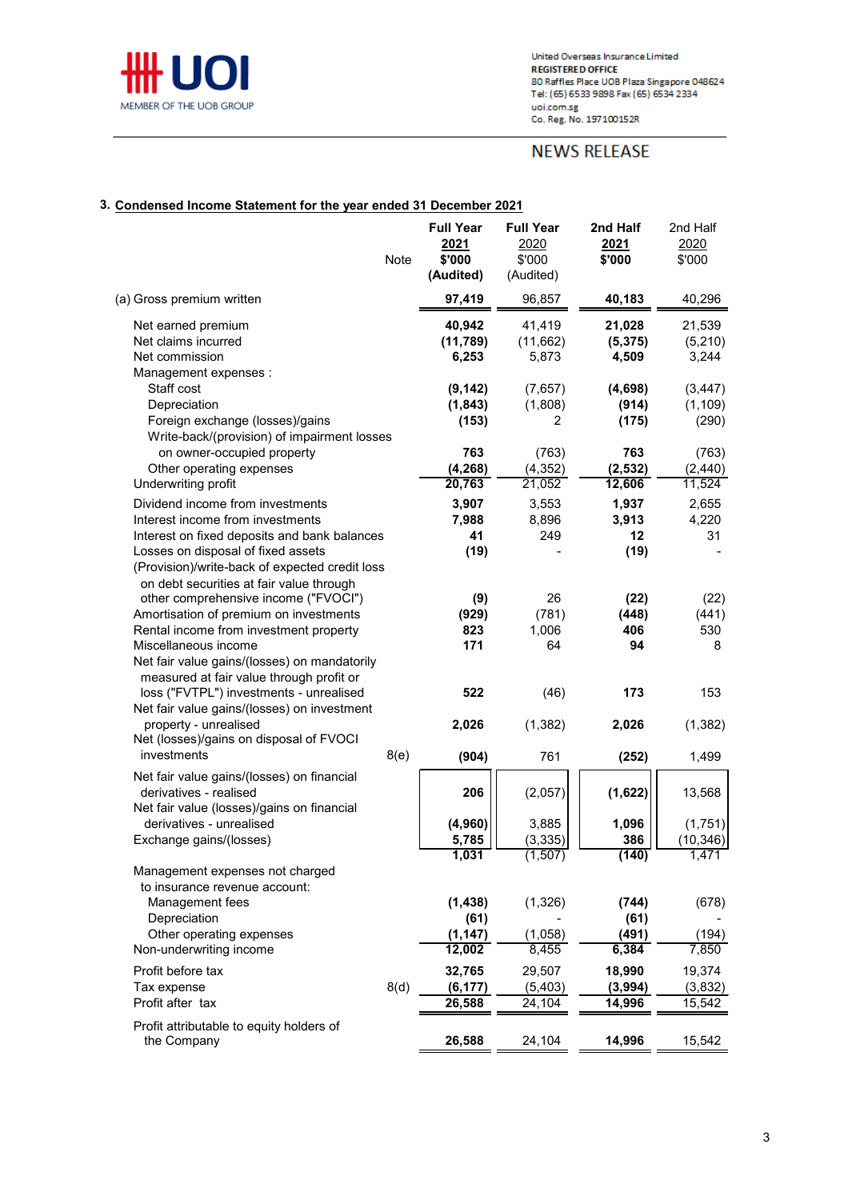

# **NEWS RELEASE**

## **3. Condensed Income Statement for the year ended 31 December 2021**

|                                                                                                                                                                                                                                              | Note | <b>Full Year</b><br>2021<br>\$'000<br>(Audited) | <b>Full Year</b><br>2020<br>\$'000<br>(Audited) | 2nd Half<br>2021<br>\$'000               | 2nd Half<br>2020<br>\$'000       |
|----------------------------------------------------------------------------------------------------------------------------------------------------------------------------------------------------------------------------------------------|------|-------------------------------------------------|-------------------------------------------------|------------------------------------------|----------------------------------|
| (a) Gross premium written                                                                                                                                                                                                                    |      | 97,419                                          | 96,857                                          | 40,183                                   | 40,296                           |
| Net earned premium<br>Net claims incurred<br>Net commission<br>Management expenses :                                                                                                                                                         |      | 40,942<br>(11, 789)<br>6,253                    | 41,419<br>(11,662)<br>5,873                     | 21,028<br>(5, 375)<br>4,509              | 21,539<br>(5,210)<br>3,244       |
| Staff cost<br>Depreciation<br>Foreign exchange (losses)/gains<br>Write-back/(provision) of impairment losses                                                                                                                                 |      | (9, 142)<br>(1, 843)<br>(153)                   | (7,657)<br>(1,808)<br>2                         | (4,698)<br>(914)<br>(175)                | (3, 447)<br>(1, 109)<br>(290)    |
| on owner-occupied property<br>Other operating expenses<br>Underwriting profit                                                                                                                                                                |      | 763<br>(4, 268)<br>20,763                       | (763)<br>(4, 352)<br>21,052                     | 763<br>(2, 532)<br>12,606                | (763)<br>(2, 440)<br>11,524      |
| Dividend income from investments<br>Interest income from investments<br>Interest on fixed deposits and bank balances<br>Losses on disposal of fixed assets<br>(Provision)/write-back of expected credit loss                                 |      | 3,907<br>7,988<br>41<br>(19)                    | 3,553<br>8,896<br>249                           | 1,937<br>3,913<br>12<br>(19)             | 2,655<br>4,220<br>31             |
| on debt securities at fair value through<br>other comprehensive income ("FVOCI")<br>Amortisation of premium on investments<br>Rental income from investment property<br>Miscellaneous income<br>Net fair value gains/(losses) on mandatorily |      | (9)<br>(929)<br>823<br>171                      | 26<br>(781)<br>1,006<br>64                      | (22)<br>(448)<br>406<br>94               | (22)<br>(441)<br>530<br>8        |
| measured at fair value through profit or<br>loss ("FVTPL") investments - unrealised<br>Net fair value gains/(losses) on investment<br>property - unrealised<br>Net (losses)/gains on disposal of FVOCI<br>investments                        | 8(e) | 522<br>2,026<br>(904)                           | (46)<br>(1, 382)<br>761                         | 173<br>2,026<br>(252)                    | 153<br>(1, 382)<br>1,499         |
| Net fair value gains/(losses) on financial<br>derivatives - realised<br>Net fair value (losses)/gains on financial<br>derivatives - unrealised<br>Exchange gains/(losses)                                                                    |      | 206<br>(4, 960)<br>5,785                        | (2,057)<br>3,885<br>(3, 335)                    | (1,622)<br>1,096<br>386                  | 13,568<br>(1,751)<br>(10, 346)   |
| Management expenses not charged<br>to insurance revenue account:<br>Management fees<br>Depreciation<br>Other operating expenses<br>Non-underwriting income                                                                                   |      | 1,031<br>(1, 438)<br>(61)<br>(1, 147)<br>12,002 | (1, 507)<br>(1, 326)<br>(1,058)<br>8,455        | (140)<br>(744)<br>(61)<br>(491)<br>6,384 | 1,471<br>(678)<br>(194)<br>7,850 |
| Profit before tax<br>Tax expense<br>Profit after tax                                                                                                                                                                                         | 8(d) | 32,765<br>(6, 177)<br>26,588                    | 29,507<br>(5, 403)<br>24,104                    | 18,990<br>(3,994)<br>14,996              | 19,374<br>(3,832)<br>15,542      |
| Profit attributable to equity holders of<br>the Company                                                                                                                                                                                      |      | 26,588                                          | 24,104                                          | 14,996                                   | 15,542                           |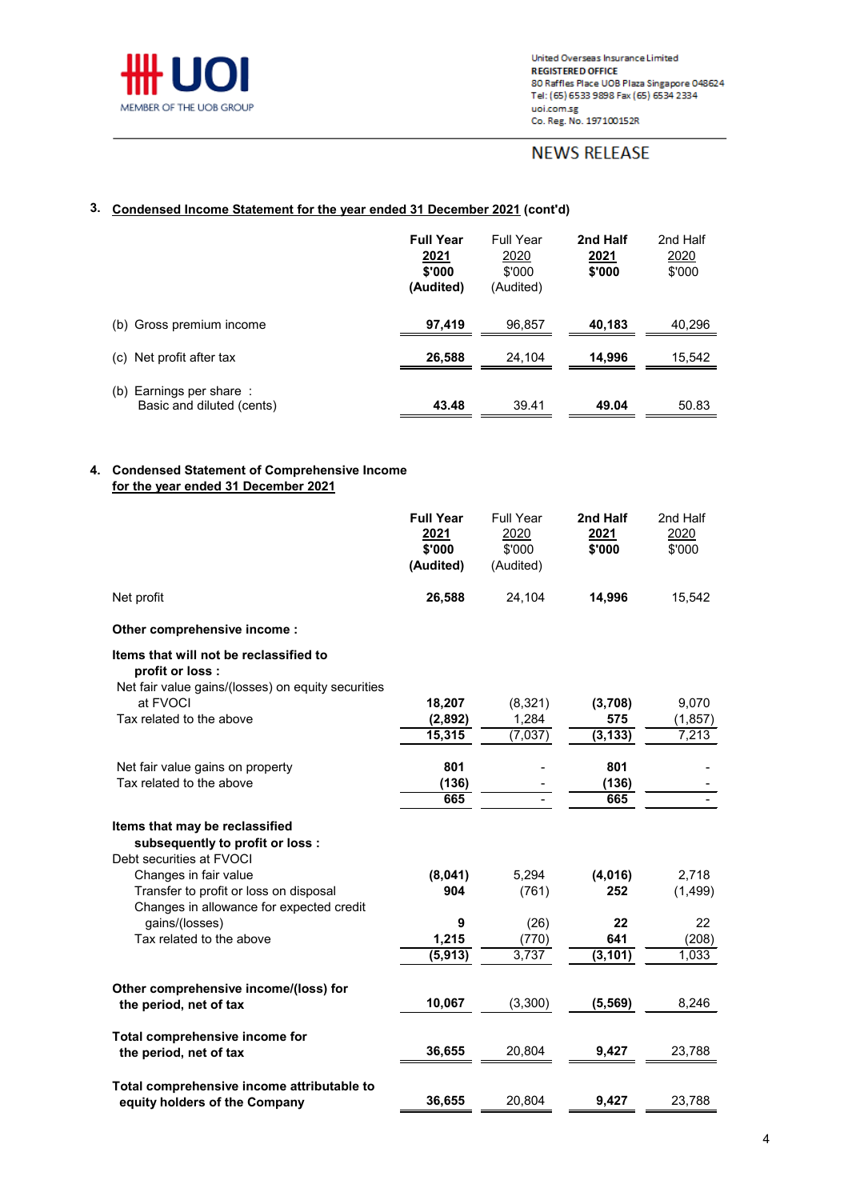

# **NEWS RELEASE**

## **3. Condensed Income Statement for the year ended 31 December 2021 (cont'd)**

|                                                         | <b>Full Year</b><br><u>2021</u><br>\$'000<br>(Audited) | Full Year<br>2020<br>\$'000<br>(Audited) | 2nd Half<br><u>2021</u><br>\$'000 | 2nd Half<br>2020<br>\$'000 |
|---------------------------------------------------------|--------------------------------------------------------|------------------------------------------|-----------------------------------|----------------------------|
| (b) Gross premium income                                | 97,419                                                 | 96,857                                   | 40,183                            | 40,296                     |
| Net profit after tax<br>(c)                             | 26,588                                                 | 24.104                                   | 14,996                            | 15,542                     |
| Earnings per share:<br>(b)<br>Basic and diluted (cents) | 43.48                                                  | 39.41                                    | 49.04                             | 50.83                      |

### **4. Condensed Statement of Comprehensive Income for the year ended 31 December 2021**

| \$'000<br>\$'000<br>\$'000<br>\$'000<br>(Audited)<br>(Audited)<br>Net profit<br>26,588<br>24,104<br>14,996<br>Other comprehensive income :<br>Items that will not be reclassified to<br>profit or loss :<br>Net fair value gains/(losses) on equity securities<br>at FVOCI<br>18,207<br>(8,321)<br>(3,708)<br>9,070<br>Tax related to the above<br>1,284<br>575<br>(2,892)<br>(1, 857)<br>15,315<br>(7, 037)<br>(3, 133)<br>7,213<br>801<br>801<br>Net fair value gains on property<br>Tax related to the above<br>(136)<br>(136)<br>665<br>665<br>Items that may be reclassified<br>subsequently to profit or loss :<br>Debt securities at FVOCI<br>Changes in fair value<br>(8,041)<br>5,294<br>(4,016) | <b>Full Year</b><br>2021 | <b>Full Year</b><br>2020 | 2nd Half<br>2021 | 2nd Half<br>2020 |
|-----------------------------------------------------------------------------------------------------------------------------------------------------------------------------------------------------------------------------------------------------------------------------------------------------------------------------------------------------------------------------------------------------------------------------------------------------------------------------------------------------------------------------------------------------------------------------------------------------------------------------------------------------------------------------------------------------------|--------------------------|--------------------------|------------------|------------------|
|                                                                                                                                                                                                                                                                                                                                                                                                                                                                                                                                                                                                                                                                                                           |                          |                          |                  |                  |
|                                                                                                                                                                                                                                                                                                                                                                                                                                                                                                                                                                                                                                                                                                           |                          |                          |                  | 15,542           |
|                                                                                                                                                                                                                                                                                                                                                                                                                                                                                                                                                                                                                                                                                                           |                          |                          |                  |                  |
|                                                                                                                                                                                                                                                                                                                                                                                                                                                                                                                                                                                                                                                                                                           |                          |                          |                  |                  |
|                                                                                                                                                                                                                                                                                                                                                                                                                                                                                                                                                                                                                                                                                                           |                          |                          |                  |                  |
|                                                                                                                                                                                                                                                                                                                                                                                                                                                                                                                                                                                                                                                                                                           |                          |                          |                  |                  |
|                                                                                                                                                                                                                                                                                                                                                                                                                                                                                                                                                                                                                                                                                                           |                          |                          |                  |                  |
|                                                                                                                                                                                                                                                                                                                                                                                                                                                                                                                                                                                                                                                                                                           |                          |                          |                  |                  |
|                                                                                                                                                                                                                                                                                                                                                                                                                                                                                                                                                                                                                                                                                                           |                          |                          |                  |                  |
|                                                                                                                                                                                                                                                                                                                                                                                                                                                                                                                                                                                                                                                                                                           |                          |                          |                  |                  |
|                                                                                                                                                                                                                                                                                                                                                                                                                                                                                                                                                                                                                                                                                                           |                          |                          |                  |                  |
|                                                                                                                                                                                                                                                                                                                                                                                                                                                                                                                                                                                                                                                                                                           |                          |                          |                  |                  |
|                                                                                                                                                                                                                                                                                                                                                                                                                                                                                                                                                                                                                                                                                                           |                          |                          |                  |                  |
|                                                                                                                                                                                                                                                                                                                                                                                                                                                                                                                                                                                                                                                                                                           |                          |                          |                  |                  |
|                                                                                                                                                                                                                                                                                                                                                                                                                                                                                                                                                                                                                                                                                                           |                          |                          |                  | 2,718            |
| Transfer to profit or loss on disposal<br>904<br>(761)<br>252                                                                                                                                                                                                                                                                                                                                                                                                                                                                                                                                                                                                                                             |                          |                          |                  | (1, 499)         |
| Changes in allowance for expected credit                                                                                                                                                                                                                                                                                                                                                                                                                                                                                                                                                                                                                                                                  |                          |                          |                  |                  |
| gains/(losses)<br>(26)<br>22<br>22<br>9                                                                                                                                                                                                                                                                                                                                                                                                                                                                                                                                                                                                                                                                   |                          |                          |                  |                  |
| Tax related to the above<br>1,215<br>(770)<br>641                                                                                                                                                                                                                                                                                                                                                                                                                                                                                                                                                                                                                                                         |                          |                          |                  | (208)            |
| (5, 913)<br>3,737<br>(3, 101)                                                                                                                                                                                                                                                                                                                                                                                                                                                                                                                                                                                                                                                                             |                          |                          |                  | 1,033            |
| Other comprehensive income/(loss) for                                                                                                                                                                                                                                                                                                                                                                                                                                                                                                                                                                                                                                                                     |                          |                          |                  |                  |
| 10,067<br>(3,300)<br>(5, 569)<br>the period, net of tax                                                                                                                                                                                                                                                                                                                                                                                                                                                                                                                                                                                                                                                   |                          |                          |                  | 8,246            |
|                                                                                                                                                                                                                                                                                                                                                                                                                                                                                                                                                                                                                                                                                                           |                          |                          |                  |                  |
| Total comprehensive income for                                                                                                                                                                                                                                                                                                                                                                                                                                                                                                                                                                                                                                                                            |                          |                          |                  |                  |
| 36,655<br>9,427<br>20,804<br>23,788<br>the period, net of tax                                                                                                                                                                                                                                                                                                                                                                                                                                                                                                                                                                                                                                             |                          |                          |                  |                  |
|                                                                                                                                                                                                                                                                                                                                                                                                                                                                                                                                                                                                                                                                                                           |                          |                          |                  |                  |
| Total comprehensive income attributable to                                                                                                                                                                                                                                                                                                                                                                                                                                                                                                                                                                                                                                                                |                          |                          |                  |                  |
| 36,655<br>20,804<br>9,427<br>23,788<br>equity holders of the Company                                                                                                                                                                                                                                                                                                                                                                                                                                                                                                                                                                                                                                      |                          |                          |                  |                  |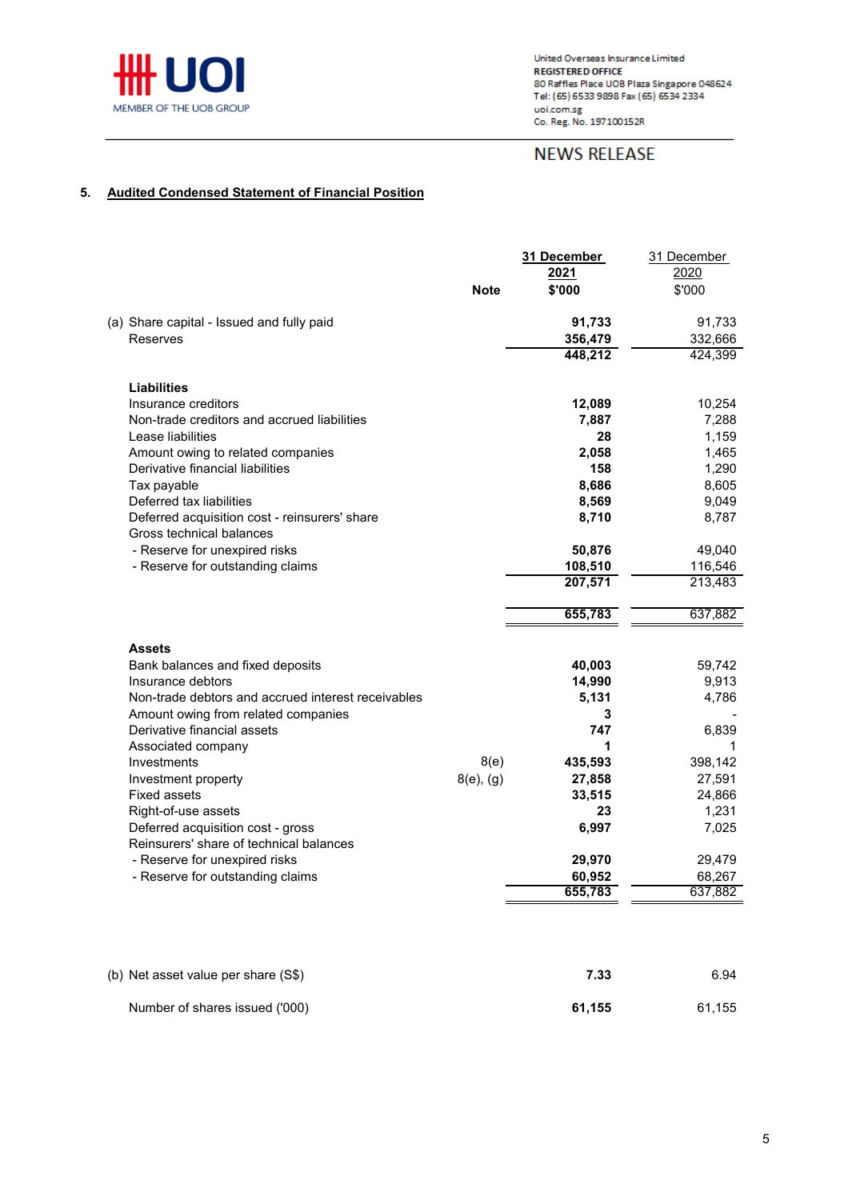

# **NEWS RELEASE**

### **5. Audited Condensed Statement of Financial Position**

|                                                                                                                                                                                                                                                                                                                                                                                                                                                                   | <b>Note</b>            | 31 December<br>2021<br>\$'000                                                                                           | 31 December<br>2020<br>\$'000                                                                                          |
|-------------------------------------------------------------------------------------------------------------------------------------------------------------------------------------------------------------------------------------------------------------------------------------------------------------------------------------------------------------------------------------------------------------------------------------------------------------------|------------------------|-------------------------------------------------------------------------------------------------------------------------|------------------------------------------------------------------------------------------------------------------------|
| (a) Share capital - Issued and fully paid<br>Reserves                                                                                                                                                                                                                                                                                                                                                                                                             |                        | 91,733<br>356,479<br>448,212                                                                                            | 91,733<br>332,666<br>424,399                                                                                           |
| <b>Liabilities</b><br>Insurance creditors<br>Non-trade creditors and accrued liabilities<br>Lease liabilities<br>Amount owing to related companies<br>Derivative financial liabilities<br>Tax payable<br>Deferred tax liabilities<br>Deferred acquisition cost - reinsurers' share<br>Gross technical balances<br>- Reserve for unexpired risks<br>- Reserve for outstanding claims                                                                               |                        | 12,089<br>7,887<br>28<br>2,058<br>158<br>8,686<br>8,569<br>8,710<br>50,876<br>108,510<br>207,571<br>655,783             | 10,254<br>7,288<br>1,159<br>1,465<br>1,290<br>8,605<br>9,049<br>8,787<br>49,040<br>116,546<br>213,483<br>637,882       |
| <b>Assets</b><br>Bank balances and fixed deposits<br>Insurance debtors<br>Non-trade debtors and accrued interest receivables<br>Amount owing from related companies<br>Derivative financial assets<br>Associated company<br>Investments<br>Investment property<br><b>Fixed assets</b><br>Right-of-use assets<br>Deferred acquisition cost - gross<br>Reinsurers' share of technical balances<br>- Reserve for unexpired risks<br>- Reserve for outstanding claims | 8(e)<br>$8(e)$ , $(g)$ | 40,003<br>14,990<br>5,131<br>3<br>747<br>1<br>435,593<br>27,858<br>33,515<br>23<br>6,997<br>29,970<br>60,952<br>655,783 | 59,742<br>9,913<br>4,786<br>6,839<br>1<br>398,142<br>27,591<br>24,866<br>1,231<br>7,025<br>29,479<br>68,267<br>637,882 |

| (b) Net asset value per share (S\$) | 7.33   | 6.94   |
|-------------------------------------|--------|--------|
| Number of shares issued ('000)      | 61.155 | 61,155 |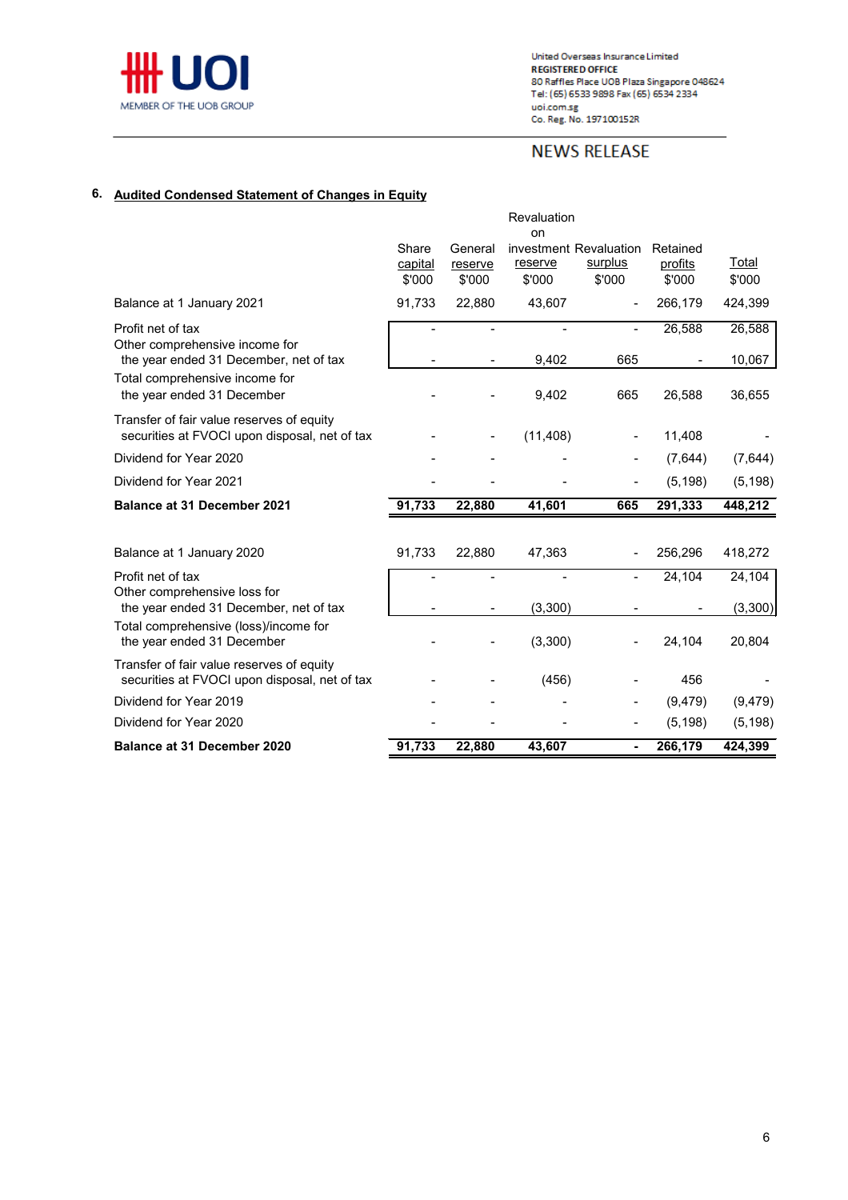

# **NEWS RELEASE**

# **6. Audited Condensed Statement of Changes in Equity**

|                                                                                                        |                            |                              | Revaluation<br>on |                                             |                               |                  |
|--------------------------------------------------------------------------------------------------------|----------------------------|------------------------------|-------------------|---------------------------------------------|-------------------------------|------------------|
|                                                                                                        | Share<br>capital<br>\$'000 | General<br>reserve<br>\$'000 | reserve<br>\$'000 | investment Revaluation<br>surplus<br>\$'000 | Retained<br>profits<br>\$'000 | Total<br>\$'000  |
| Balance at 1 January 2021                                                                              | 91,733                     | 22,880                       | 43,607            |                                             | 266,179                       | 424,399          |
| Profit net of tax<br>Other comprehensive income for                                                    |                            | ٠                            | 9,402             | 665                                         | 26,588                        | 26,588           |
| the year ended 31 December, net of tax<br>Total comprehensive income for<br>the year ended 31 December |                            |                              | 9,402             | 665                                         | 26,588                        | 10,067<br>36,655 |
| Transfer of fair value reserves of equity<br>securities at FVOCI upon disposal, net of tax             |                            |                              | (11, 408)         |                                             | 11,408                        |                  |
| Dividend for Year 2020                                                                                 |                            |                              |                   |                                             | (7,644)                       | (7,644)          |
| Dividend for Year 2021                                                                                 |                            |                              |                   |                                             | (5, 198)                      | (5, 198)         |
| <b>Balance at 31 December 2021</b>                                                                     | 91,733                     | 22,880                       | 41,601            | 665                                         | 291,333                       | 448,212          |
| Balance at 1 January 2020                                                                              | 91,733                     | 22,880                       | 47,363            |                                             | 256,296                       | 418,272          |
| Profit net of tax                                                                                      |                            |                              |                   |                                             | 24,104                        | 24,104           |
| Other comprehensive loss for<br>the year ended 31 December, net of tax                                 |                            |                              | (3,300)           |                                             |                               | (3,300)          |
| Total comprehensive (loss)/income for<br>the year ended 31 December                                    |                            |                              | (3,300)           |                                             | 24,104                        | 20,804           |
| Transfer of fair value reserves of equity<br>securities at FVOCI upon disposal, net of tax             |                            |                              | (456)             |                                             | 456                           |                  |
| Dividend for Year 2019                                                                                 |                            |                              |                   |                                             | (9, 479)                      | (9, 479)         |
| Dividend for Year 2020                                                                                 |                            |                              |                   |                                             | (5, 198)                      | (5, 198)         |
| <b>Balance at 31 December 2020</b>                                                                     | 91,733                     | 22,880                       | 43,607            |                                             | 266,179                       | 424,399          |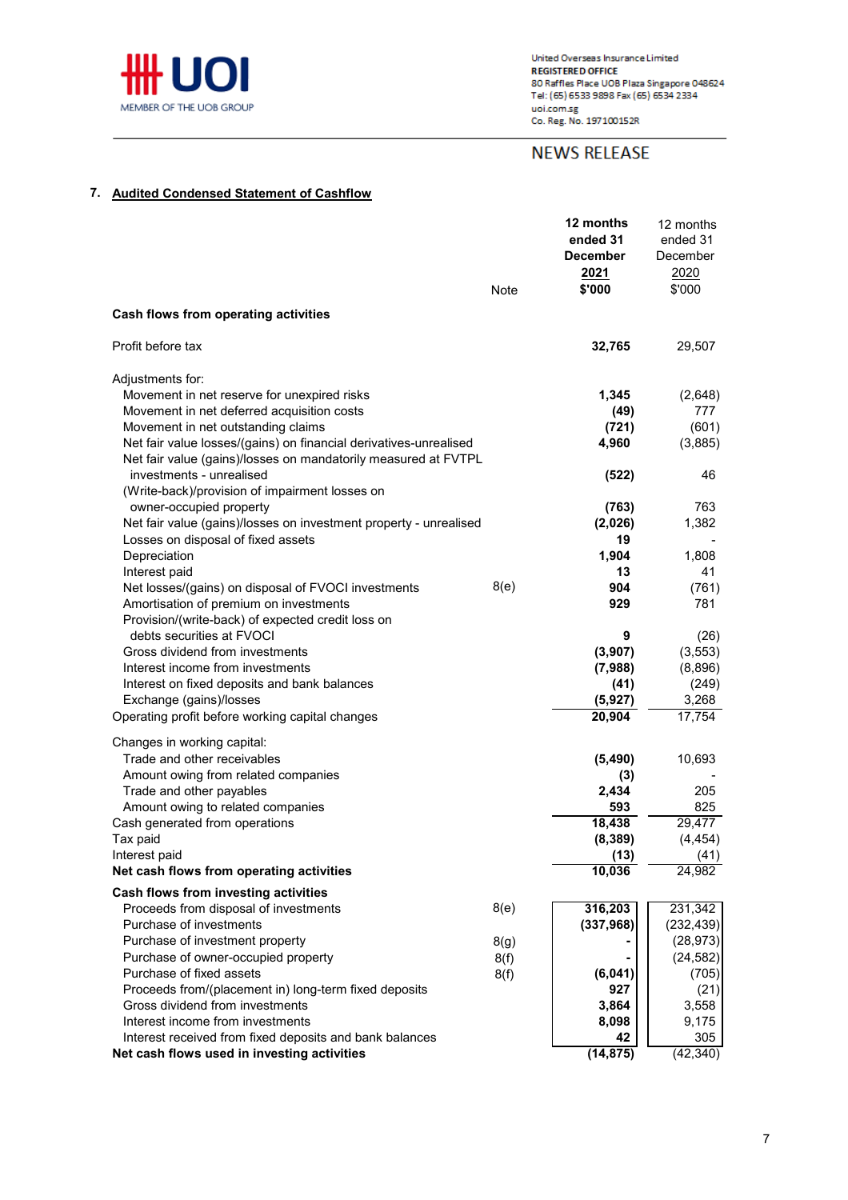

# **NEWS RELEASE**

### **7. Audited Condensed Statement of Cashflow**

|                                                                                                         | Note | 12 months<br>ended 31<br><b>December</b><br>2021<br>\$'000 | 12 months<br>ended 31<br>December<br>2020<br>\$'000 |
|---------------------------------------------------------------------------------------------------------|------|------------------------------------------------------------|-----------------------------------------------------|
| Cash flows from operating activities                                                                    |      |                                                            |                                                     |
| Profit before tax                                                                                       |      | 32,765                                                     | 29,507                                              |
| Adjustments for:                                                                                        |      |                                                            |                                                     |
| Movement in net reserve for unexpired risks                                                             |      | 1,345                                                      | (2,648)                                             |
| Movement in net deferred acquisition costs                                                              |      | (49)                                                       | 777                                                 |
| Movement in net outstanding claims<br>Net fair value losses/(gains) on financial derivatives-unrealised |      | (721)<br>4,960                                             | (601)<br>(3,885)                                    |
| Net fair value (gains)/losses on mandatorily measured at FVTPL                                          |      |                                                            |                                                     |
| investments - unrealised                                                                                |      | (522)                                                      | 46                                                  |
| (Write-back)/provision of impairment losses on                                                          |      |                                                            |                                                     |
| owner-occupied property                                                                                 |      | (763)                                                      | 763                                                 |
| Net fair value (gains)/losses on investment property - unrealised                                       |      | (2,026)                                                    | 1,382                                               |
| Losses on disposal of fixed assets                                                                      |      | 19                                                         |                                                     |
| Depreciation                                                                                            |      | 1,904                                                      | 1,808                                               |
| Interest paid                                                                                           |      | 13                                                         | 41                                                  |
| Net losses/(gains) on disposal of FVOCI investments<br>Amortisation of premium on investments           | 8(e) | 904<br>929                                                 | (761)<br>781                                        |
| Provision/(write-back) of expected credit loss on                                                       |      |                                                            |                                                     |
| debts securities at FVOCI                                                                               |      | 9                                                          | (26)                                                |
| Gross dividend from investments                                                                         |      | (3,907)                                                    | (3, 553)                                            |
| Interest income from investments                                                                        |      | (7,988)                                                    | (8,896)                                             |
| Interest on fixed deposits and bank balances                                                            |      | (41)                                                       | (249)                                               |
| Exchange (gains)/losses                                                                                 |      | (5, 927)                                                   | 3,268                                               |
| Operating profit before working capital changes                                                         |      | 20,904                                                     | 17,754                                              |
| Changes in working capital:                                                                             |      |                                                            |                                                     |
| Trade and other receivables                                                                             |      | (5, 490)                                                   | 10,693                                              |
| Amount owing from related companies                                                                     |      | (3)                                                        |                                                     |
| Trade and other payables                                                                                |      | 2,434                                                      | 205                                                 |
| Amount owing to related companies                                                                       |      | 593                                                        | 825                                                 |
| Cash generated from operations                                                                          |      | 18,438                                                     | 29,477                                              |
| Tax paid                                                                                                |      | (8, 389)                                                   | (4, 454)                                            |
| Interest paid<br>Net cash flows from operating activities                                               |      | (13)<br>10,036                                             | (41)<br>24,982                                      |
|                                                                                                         |      |                                                            |                                                     |
| Cash flows from investing activities                                                                    | 8(e) | 316,203                                                    | 231,342                                             |
| Proceeds from disposal of investments<br>Purchase of investments                                        |      | (337, 968)                                                 | (232, 439)                                          |
| Purchase of investment property                                                                         | 8(g) |                                                            | (28, 973)                                           |
| Purchase of owner-occupied property                                                                     | 8(f) |                                                            | (24, 582)                                           |
| Purchase of fixed assets                                                                                | 8(f) | (6,041)                                                    | (705)                                               |
| Proceeds from/(placement in) long-term fixed deposits                                                   |      | 927                                                        | (21)                                                |
| Gross dividend from investments                                                                         |      | 3,864                                                      | 3,558                                               |
| Interest income from investments                                                                        |      | 8,098                                                      | 9,175                                               |
| Interest received from fixed deposits and bank balances                                                 |      | 42                                                         | 305                                                 |
| Net cash flows used in investing activities                                                             |      | (14, 875)                                                  | (42, 340)                                           |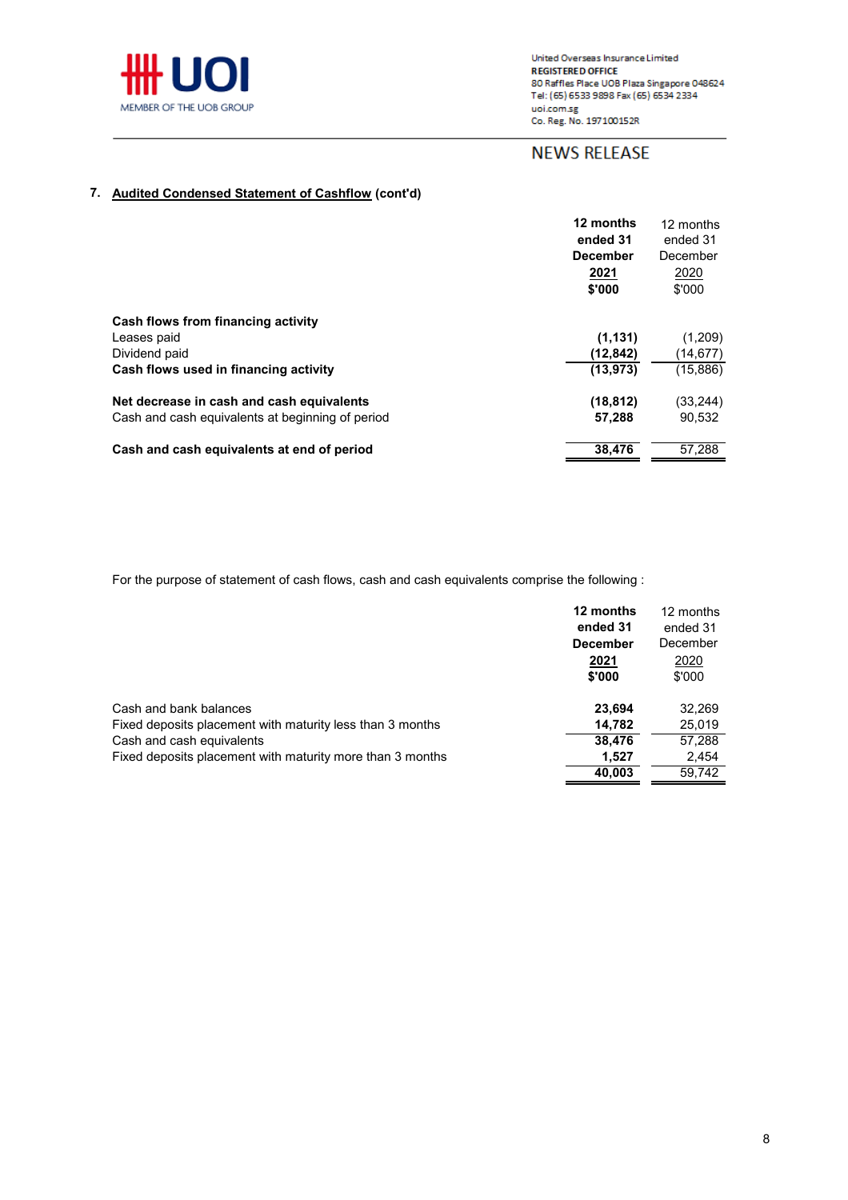

# **NEWS RELEASE**

## **7. Audited Condensed Statement of Cashflow (cont'd)**

|                                                  | 12 months<br>ended 31 | 12 months<br>ended 31 |
|--------------------------------------------------|-----------------------|-----------------------|
|                                                  | <b>December</b>       | December              |
|                                                  | 2021<br>\$'000        | 2020<br>\$'000        |
| Cash flows from financing activity               |                       |                       |
| Leases paid                                      | (1, 131)              | (1,209)               |
| Dividend paid                                    | (12, 842)             | (14,677)              |
| Cash flows used in financing activity            | (13, 973)             | (15, 886)             |
| Net decrease in cash and cash equivalents        | (18, 812)             | (33,244)              |
| Cash and cash equivalents at beginning of period | 57,288                | 90,532                |
| Cash and cash equivalents at end of period       | 38,476                | 57,288                |

For the purpose of statement of cash flows, cash and cash equivalents comprise the following :

|                                                           | 12 months<br>ended 31 | 12 months<br>ended 31 |
|-----------------------------------------------------------|-----------------------|-----------------------|
|                                                           | <b>December</b>       | December              |
|                                                           | 2021<br>\$'000        | 2020<br>\$'000        |
| Cash and bank balances                                    | 23,694                | 32,269                |
| Fixed deposits placement with maturity less than 3 months | 14.782                | 25,019                |
| Cash and cash equivalents                                 | 38,476                | 57,288                |
| Fixed deposits placement with maturity more than 3 months | 1.527                 | 2,454                 |
|                                                           | 40,003                | 59,742                |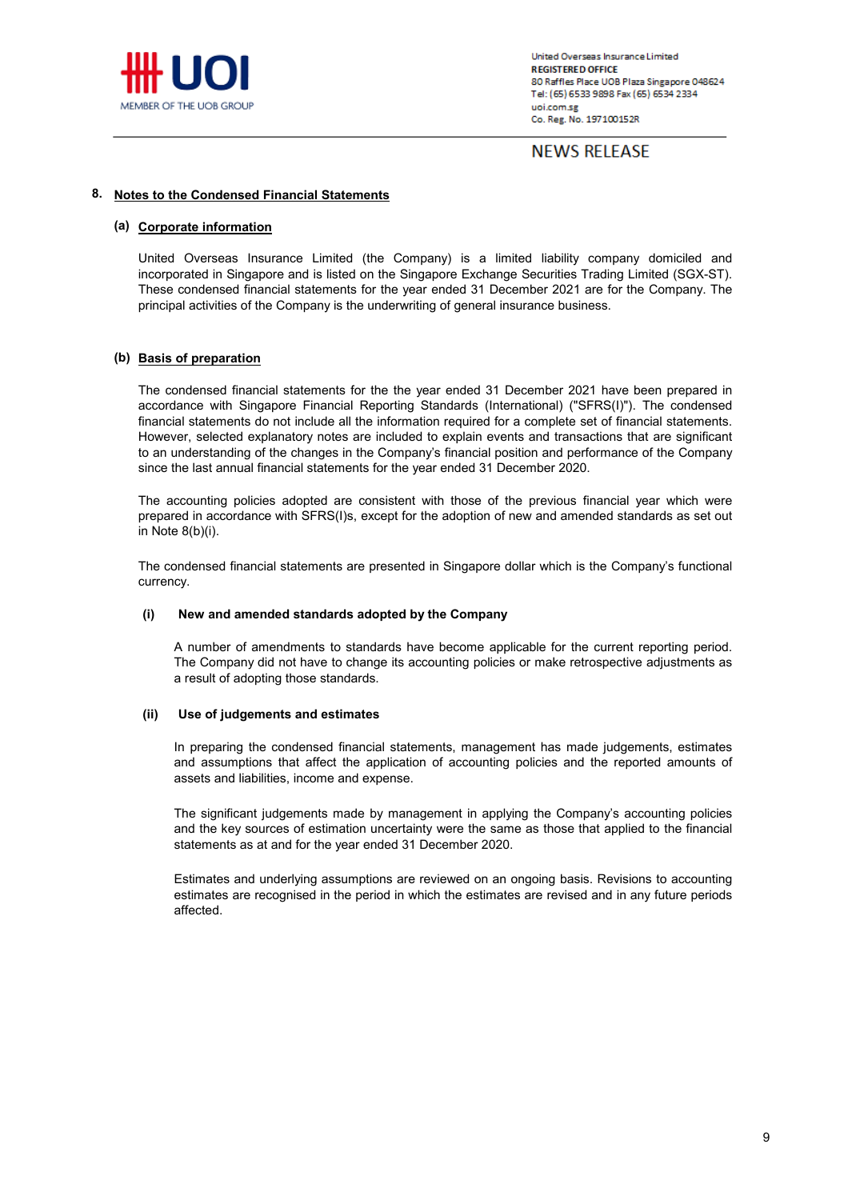

# **NEWS RELEASE**

#### **8. Notes to the Condensed Financial Statements**

### **(a) Corporate information**

United Overseas Insurance Limited (the Company) is a limited liability company domiciled and incorporated in Singapore and is listed on the Singapore Exchange Securities Trading Limited (SGX-ST). These condensed financial statements for the year ended 31 December 2021 are for the Company. The principal activities of the Company is the underwriting of general insurance business.

### **(b) Basis of preparation**

The condensed financial statements for the the year ended 31 December 2021 have been prepared in accordance with Singapore Financial Reporting Standards (International) ("SFRS(I)"). The condensed financial statements do not include all the information required for a complete set of financial statements. However, selected explanatory notes are included to explain events and transactions that are significant to an understanding of the changes in the Company's financial position and performance of the Company since the last annual financial statements for the year ended 31 December 2020.

The accounting policies adopted are consistent with those of the previous financial year which were prepared in accordance with SFRS(I)s, except for the adoption of new and amended standards as set out in Note 8(b)(i).

The condensed financial statements are presented in Singapore dollar which is the Company's functional currency.

#### **(i) New and amended standards adopted by the Company**

A number of amendments to standards have become applicable for the current reporting period. The Company did not have to change its accounting policies or make retrospective adjustments as a result of adopting those standards.

#### **(ii) Use of judgements and estimates**

In preparing the condensed financial statements, management has made judgements, estimates and assumptions that affect the application of accounting policies and the reported amounts of assets and liabilities, income and expense.

The significant judgements made by management in applying the Company's accounting policies and the key sources of estimation uncertainty were the same as those that applied to the financial statements as at and for the year ended 31 December 2020.

Estimates and underlying assumptions are reviewed on an ongoing basis. Revisions to accounting estimates are recognised in the period in which the estimates are revised and in any future periods affected.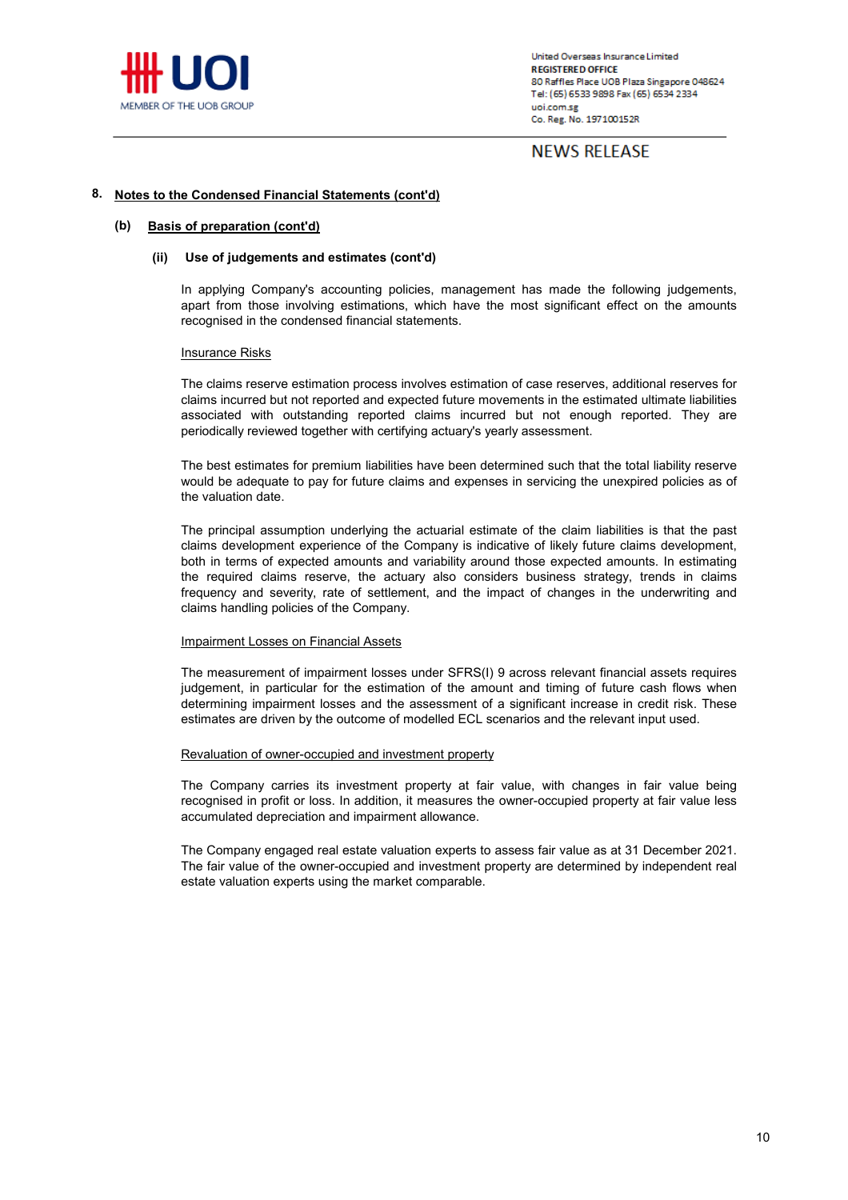

# **NEWS RELEASE**

#### **8. Notes to the Condensed Financial Statements (cont'd)**

#### **(b) Basis of preparation (cont'd)**

### **(ii) Use of judgements and estimates (cont'd)**

In applying Company's accounting policies, management has made the following judgements, apart from those involving estimations, which have the most significant effect on the amounts recognised in the condensed financial statements.

### Insurance Risks

The claims reserve estimation process involves estimation of case reserves, additional reserves for claims incurred but not reported and expected future movements in the estimated ultimate liabilities associated with outstanding reported claims incurred but not enough reported. They are periodically reviewed together with certifying actuary's yearly assessment.

The best estimates for premium liabilities have been determined such that the total liability reserve would be adequate to pay for future claims and expenses in servicing the unexpired policies as of the valuation date.

The principal assumption underlying the actuarial estimate of the claim liabilities is that the past claims development experience of the Company is indicative of likely future claims development, both in terms of expected amounts and variability around those expected amounts. In estimating the required claims reserve, the actuary also considers business strategy, trends in claims frequency and severity, rate of settlement, and the impact of changes in the underwriting and claims handling policies of the Company.

#### Impairment Losses on Financial Assets

The measurement of impairment losses under SFRS(I) 9 across relevant financial assets requires judgement, in particular for the estimation of the amount and timing of future cash flows when determining impairment losses and the assessment of a significant increase in credit risk. These estimates are driven by the outcome of modelled ECL scenarios and the relevant input used.

#### Revaluation of owner-occupied and investment property

The Company carries its investment property at fair value, with changes in fair value being recognised in profit or loss. In addition, it measures the owner-occupied property at fair value less accumulated depreciation and impairment allowance.

The Company engaged real estate valuation experts to assess fair value as at 31 December 2021. The fair value of the owner-occupied and investment property are determined by independent real estate valuation experts using the market comparable.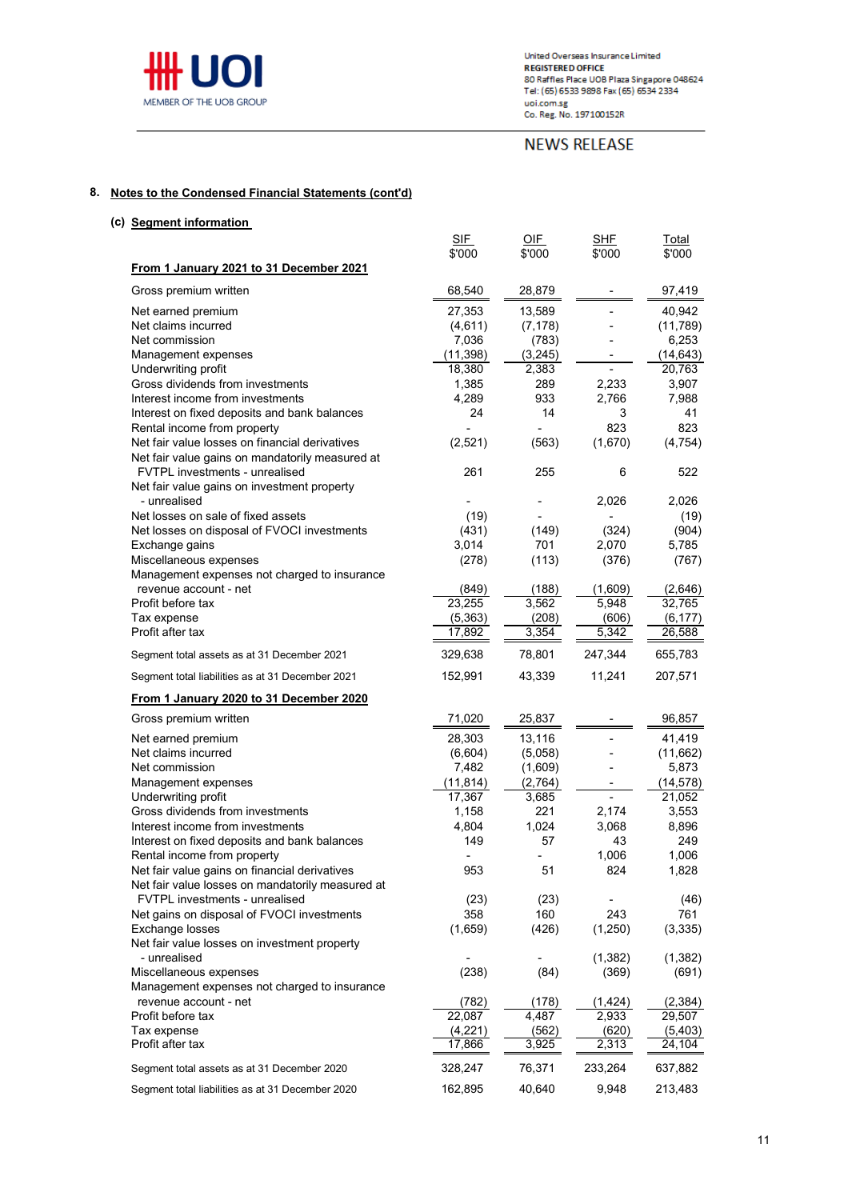

# **NEWS RELEASE**

### **8. Notes to the Condensed Financial Statements (cont'd)**

**(c) Segment information**  SIF OIF SHF Total \$'000 \$'000 \$'000 \$'000 **From 1 January 2021 to 31 December 2021** Gross premium written  $68,540$   $28,879$  - 97,419 Net earned premium  $27,353$   $13,589$  - 40,942<br>Net claims incurred  $(4,611)$   $(7,178)$  -  $(11,789)$ Net claims incurred (4,611) (7,178) - (11,789)<br>Net commission (7,036 (783) - 6,253 Net commission Management expenses<br>
Underwriting profit<br>
Underwriting profit<br>
20.763 Underwriting profit 18,380 2,383 - 20,763 Gross dividends from investments and the control of the 1,385 289 2,233 3,907 Interest income from investments and the control of the 4,289 and 4,289 and 4,289 and 4,289 and 4,988 and 4,988 Interest on fixed deposits and bank balances<br>
Rental income from property<br>
24 14 3 823 823 Rental income from property Net fair value losses on financial derivatives (2,521) (563) (1,670) (4,754) Net fair value gains on mandatorily measured at FVTPL investments - unrealised 261 255 6 522 Net fair value gains on investment property - unrealised - - 2,026 - 2,026 2,026 2,026 - 2,026 2,026 2,026 2,026 2,026 2,026 2,026 2,026 2,026 2,026 2,026 Net losses on sale of fixed assets (19) and the control of the control of the control of the control of the control of the control of the control of the control of the control of the control of the control of the control o Net losses on disposal of FVOCI investments (431) (149) (324) (904)<br>Exchange gains (5.785) (904) (149) (149) (149) (149) (15.785 Exchange gains Miscellaneous expenses (278) (113) (376) (767) Management expenses not charged to insurance revenue account - net (849) (188) (1,609) (2,646) Profit before tax 23,255 3,562 5,948 32,765 Tax expense  $\frac{(5,363)}{17,892}$   $\frac{(208)}{3,354}$   $\frac{(606)}{5,342}$   $\frac{(6,177)}{26,588}$ Profit after tax Segment total assets as at 31 December 2021 329,638 78,801 247,344 655,783 Segment total liabilities as at 31 December 2021 152,991 43,339 11,241 207,571 **From 1 January 2020 to 31 December 2020** Gross premium written **1988** - 1999 - 1999 - 1999 - 1999 - 1999 - 1999 - 1999 - 1999 - 1999 - 1999 - 1999 - 199 Net earned premium  $28,303$   $13,116$  - 41,419<br>Net claims incurred  $(6,604)$   $(5,058)$  -  $(11,662)$ Net claims incurred  $(6,604)$   $(5,058)$  -Net commission 6,873 Management expenses<br>
Underwriting profit<br>  $\frac{(11,814)}{17,367}$   $\frac{(2,764)}{3,685}$   $\frac{1}{17}$   $\frac{(14,578)}{21,052}$ Underwriting profit Gross dividends from investments<br>
1,158 221 2,174 3,553<br>
1,804 1,024 3,068 8,896 Interest income from investments 1,804 1,024 3,068 8,896 Interest on fixed deposits and bank balances 149 57 43 249 Rental income from property<br>
Net fair value gains on financial derivatives<br>
288, 1,828<br>
288, 1,828 Net fair value gains on financial derivatives 1953 51 824 1,828 Net fair value losses on mandatorily measured at FVTPL investments - unrealised (23) (23) (23) (23) (23) Net gains on disposal of FVOCI investments 158 160 243 761 Exchange losses (1,659) (426) (1,250) (3,335) Net fair value losses on investment property - unrealised - - (1,382) (1,382) Miscellaneous expenses (238) (84) (369) (691) Management expenses not charged to insurance revenue account - net  $\frac{(782)}{22,087}$   $\frac{(178)}{4,487}$   $\frac{(1,424)}{2,933}$   $\frac{(2,384)}{29,507}$ Profit before tax Tax expense (4,221) (562) (620) (5,403) Profit after tax **17,866** 3,925 2,313 24,104 Segment total assets as at 31 December 2020 328,247 76,371 233,264 637,882

Segment total liabilities as at 31 December 2020 162,895 40,640 9,948 213,483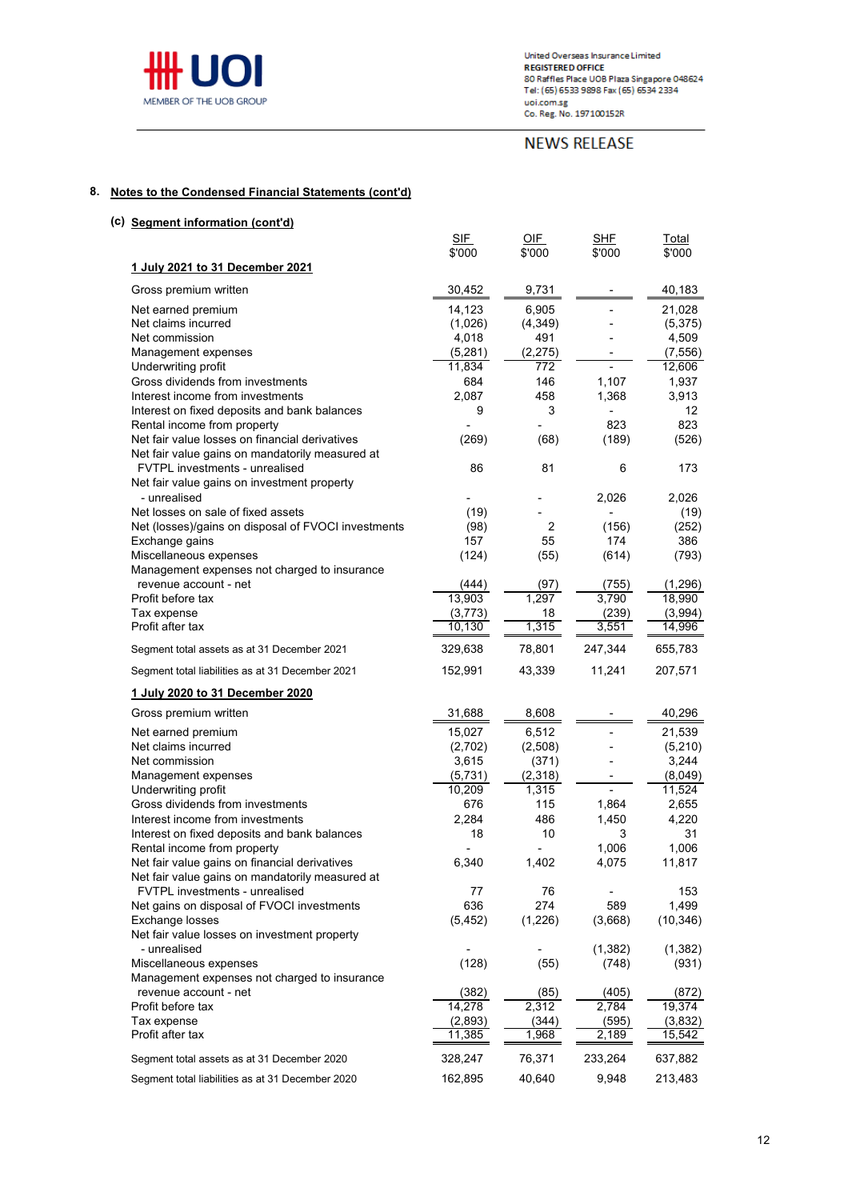

# **NEWS RELEASE**

### **8. Notes to the Condensed Financial Statements (cont'd)**

| (c) Segment information (cont'd)                                                                |                 |                  |                   |                    |
|-------------------------------------------------------------------------------------------------|-----------------|------------------|-------------------|--------------------|
|                                                                                                 | <b>SIF</b>      | OIF              | <b>SHF</b>        | Total              |
|                                                                                                 | \$'000          | \$'000           | \$'000            | \$'000             |
| 1 July 2021 to 31 December 2021                                                                 |                 |                  |                   |                    |
| Gross premium written                                                                           | 30,452          | 9,731            |                   | 40,183             |
| Net earned premium                                                                              | 14,123          | 6,905            |                   | 21,028             |
| Net claims incurred                                                                             | (1,026)         | (4, 349)         |                   | (5,375)            |
| Net commission                                                                                  | 4,018           | 491              |                   | 4,509              |
| Management expenses                                                                             | (5,281)         | (2, 275)         |                   | (7, 556)           |
| Underwriting profit                                                                             | 11,834          | $\overline{772}$ |                   | 12,606             |
| Gross dividends from investments                                                                | 684             | 146              | 1,107             | 1,937              |
| Interest income from investments                                                                | 2,087           | 458              | 1,368             | 3,913              |
| Interest on fixed deposits and bank balances<br>Rental income from property                     | 9               | 3                | 823               | 12<br>823          |
| Net fair value losses on financial derivatives                                                  | (269)           | (68)             | (189)             | (526)              |
| Net fair value gains on mandatorily measured at                                                 |                 |                  |                   |                    |
| FVTPL investments - unrealised                                                                  | 86              | 81               | 6                 | 173                |
| Net fair value gains on investment property                                                     |                 |                  |                   |                    |
| - unrealised                                                                                    |                 |                  | 2,026             | 2,026              |
| Net losses on sale of fixed assets                                                              | (19)            |                  |                   | (19)               |
| Net (losses)/gains on disposal of FVOCI investments                                             | (98)            | 2                | (156)             | (252)              |
| Exchange gains                                                                                  | 157             | 55               | 174               | 386                |
| Miscellaneous expenses                                                                          | (124)           | (55)             | (614)             | (793)              |
| Management expenses not charged to insurance<br>revenue account - net                           |                 |                  |                   |                    |
| Profit before tax                                                                               | (444)<br>13,903 | (97)<br>1,297    | (755)<br>3,790    | (1, 296)<br>18,990 |
| Tax expense                                                                                     | (3, 773)        | 18               | (239)             | (3,994)            |
| Profit after tax                                                                                | 10,130          | 1,315            | 3,551             | 14,996             |
|                                                                                                 | 329,638         | 78,801           | 247,344           | 655,783            |
| Segment total assets as at 31 December 2021<br>Segment total liabilities as at 31 December 2021 | 152,991         | 43,339           | 11,241            | 207,571            |
|                                                                                                 |                 |                  |                   |                    |
| 1 July 2020 to 31 December 2020                                                                 |                 |                  |                   |                    |
| Gross premium written                                                                           | 31,688          | 8,608            |                   | 40,296             |
| Net earned premium                                                                              | 15,027          | 6,512            |                   | 21,539             |
| Net claims incurred                                                                             | (2,702)         | (2,508)          |                   | (5, 210)           |
| Net commission                                                                                  | 3,615           | (371)            |                   | 3,244              |
| Management expenses                                                                             | (5,731)         | (2,318)          |                   | (8,049)            |
| Underwriting profit<br>Gross dividends from investments                                         | 10,209<br>676   | 1,315<br>115     | $\blacksquare$    | 11,524             |
| Interest income from investments                                                                | 2,284           | 486              | 1,864<br>1,450    | 2,655<br>4,220     |
| Interest on fixed deposits and bank balances                                                    | 18              | 10               | 3                 | 31                 |
| Rental income from property                                                                     |                 |                  | 1,006             | 1,006              |
| Net fair value gains on financial derivatives                                                   | 6,340           | 1,402            | 4,075             | 11,817             |
| Net fair value gains on mandatorily measured at                                                 |                 |                  |                   |                    |
| FVTPL investments - unrealised                                                                  | 77              | 76               |                   | 153                |
| Net gains on disposal of FVOCI investments                                                      | 636             | 274              | 589               | 1,499              |
| Exchange losses                                                                                 | (5, 452)        | (1,226)          | (3,668)           | (10, 346)          |
| Net fair value losses on investment property<br>- unrealised                                    |                 |                  |                   |                    |
| Miscellaneous expenses                                                                          | (128)           | (55)             | (1, 382)<br>(748) | (1, 382)<br>(931)  |
| Management expenses not charged to insurance                                                    |                 |                  |                   |                    |
| revenue account - net                                                                           | (382)           | (85)             | (405)             | (872)              |
| Profit before tax                                                                               | 14,278          | 2,312            | 2,784             | 19,374             |
| Tax expense                                                                                     | (2,893)         | (344)            | (595)             | (3,832)            |
| Profit after tax                                                                                | 11,385          | 1,968            | 2,189             | 15,542             |
| Segment total assets as at 31 December 2020                                                     | 328,247         | 76,371           | 233,264           | 637,882            |
| Segment total liabilities as at 31 December 2020                                                | 162,895         | 40,640           | 9,948             | 213,483            |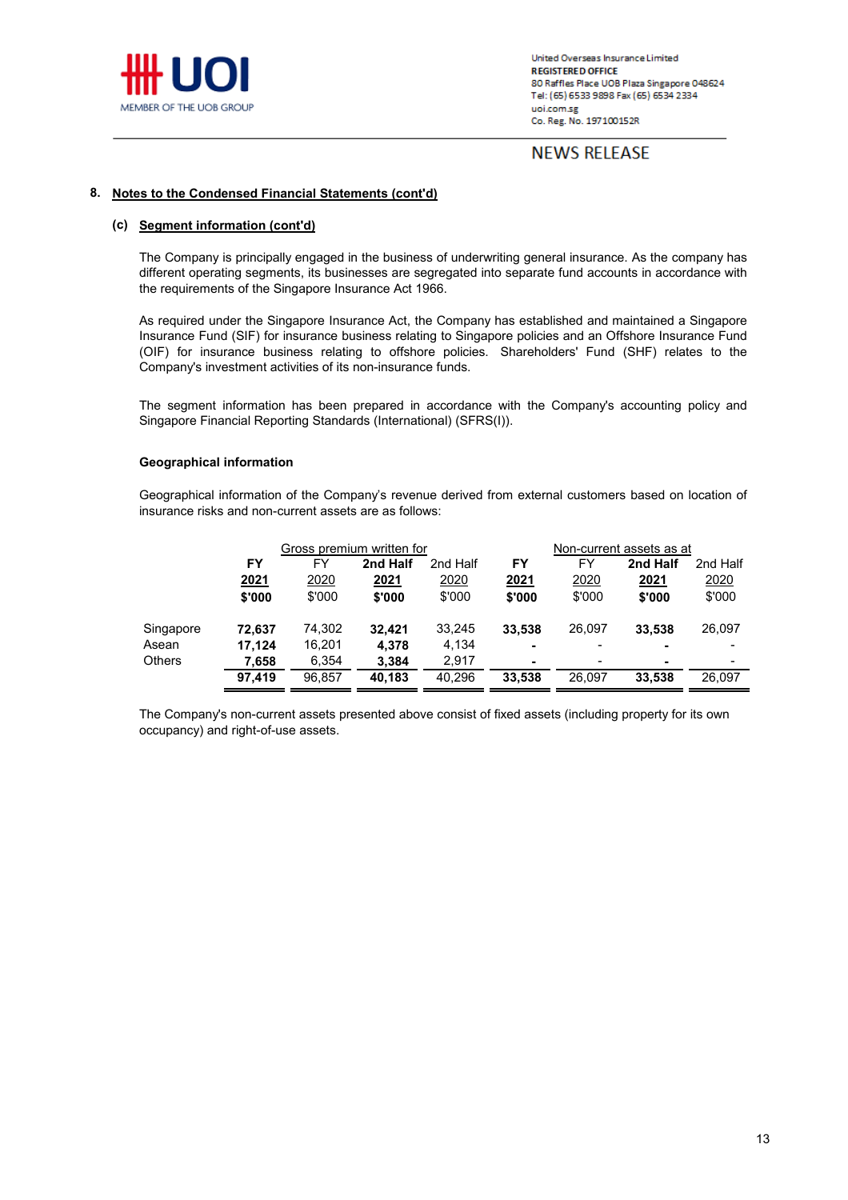

# **NEWS RELEASE**

### **8. Notes to the Condensed Financial Statements (cont'd)**

### **(c) Segment information (cont'd)**

The Company is principally engaged in the business of underwriting general insurance. As the company has different operating segments, its businesses are segregated into separate fund accounts in accordance with the requirements of the Singapore Insurance Act 1966.

As required under the Singapore Insurance Act, the Company has established and maintained a Singapore Insurance Fund (SIF) for insurance business relating to Singapore policies and an Offshore Insurance Fund (OIF) for insurance business relating to offshore policies. Shareholders' Fund (SHF) relates to the Company's investment activities of its non-insurance funds.

The segment information has been prepared in accordance with the Company's accounting policy and Singapore Financial Reporting Standards (International) (SFRS(I)).

### **Geographical information**

Geographical information of the Company's revenue derived from external customers based on location of insurance risks and non-current assets are as follows:

|               | Gross premium written for |        |             | Non-current assets as at |                |                          |                          |          |
|---------------|---------------------------|--------|-------------|--------------------------|----------------|--------------------------|--------------------------|----------|
|               | FY                        | FY     | 2nd Half    | 2nd Half                 | FY             | FY                       | 2nd Half                 | 2nd Half |
|               | <u>2021</u>               | 2020   | <u>2021</u> | 2020                     | 2021           | 2020                     | 2021                     | 2020     |
|               | \$'000                    | \$'000 | \$'000      | \$'000                   | \$'000         | \$'000                   | \$'000                   | \$'000   |
| Singapore     | 72,637                    | 74,302 | 32,421      | 33,245                   | 33,538         | 26,097                   | 33,538                   | 26,097   |
| Asean         | 17,124                    | 16,201 | 4.378       | 4,134                    | $\blacksquare$ | $\overline{\phantom{a}}$ |                          |          |
| <b>Others</b> | 7,658                     | 6,354  | 3,384       | 2.917                    | ۰              | ٠                        | $\overline{\phantom{0}}$ |          |
|               | 97,419                    | 96,857 | 40,183      | 40,296                   | 33,538         | 26,097                   | 33,538                   | 26,097   |

The Company's non-current assets presented above consist of fixed assets (including property for its own occupancy) and right-of-use assets.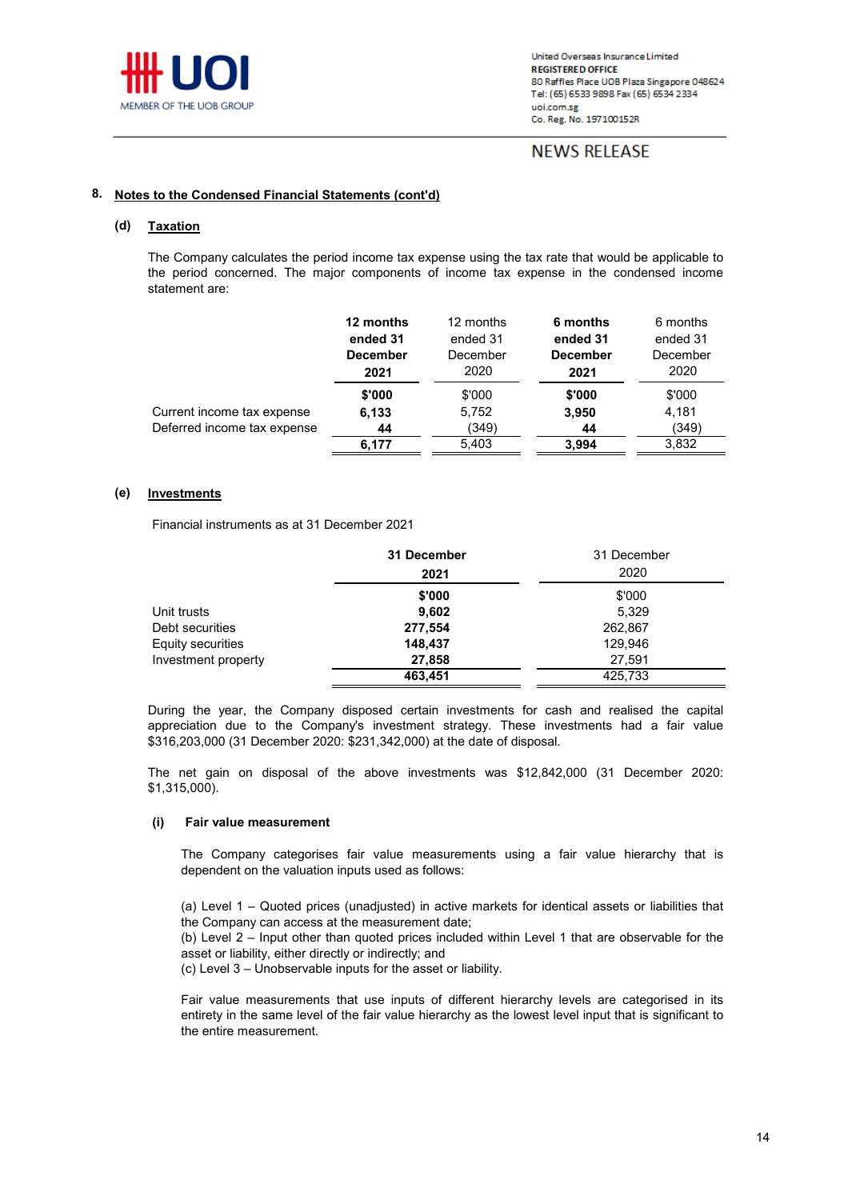

# **NEWS RELEASE**

#### **8. Notes to the Condensed Financial Statements (cont'd)**

#### **(d) Taxation**

The Company calculates the period income tax expense using the tax rate that would be applicable to the period concerned. The major components of income tax expense in the condensed income statement are:

|                             | 12 months<br>ended 31<br><b>December</b><br>2021 | 12 months<br>ended 31<br>December<br>2020 | 6 months<br>ended 31<br><b>December</b><br>2021 | 6 months<br>ended 31<br>December<br>2020 |
|-----------------------------|--------------------------------------------------|-------------------------------------------|-------------------------------------------------|------------------------------------------|
|                             | \$'000                                           | \$'000                                    | \$'000                                          | \$'000                                   |
| Current income tax expense  | 6,133                                            | 5,752                                     | 3,950                                           | 4,181                                    |
| Deferred income tax expense | 44                                               | (349)                                     | 44                                              | (349)                                    |
|                             | 6,177                                            | 5,403                                     | 3,994                                           | 3,832                                    |

#### **(e) Investments**

Financial instruments as at 31 December 2021

|                     | 31 December | 31 December |
|---------------------|-------------|-------------|
|                     | 2021        | 2020        |
|                     | \$'000      | \$'000      |
| Unit trusts         | 9,602       | 5,329       |
| Debt securities     | 277,554     | 262,867     |
| Equity securities   | 148,437     | 129,946     |
| Investment property | 27,858      | 27,591      |
|                     | 463,451     | 425,733     |

During the year, the Company disposed certain investments for cash and realised the capital appreciation due to the Company's investment strategy. These investments had a fair value \$316,203,000 (31 December 2020: \$231,342,000) at the date of disposal.

The net gain on disposal of the above investments was \$12,842,000 (31 December 2020: \$1,315,000).

#### **(i) Fair value measurement**

The Company categorises fair value measurements using a fair value hierarchy that is dependent on the valuation inputs used as follows:

(a) Level 1 – Quoted prices (unadjusted) in active markets for identical assets or liabilities that the Company can access at the measurement date;

(b) Level 2 – Input other than quoted prices included within Level 1 that are observable for the asset or liability, either directly or indirectly; and

(c) Level 3 – Unobservable inputs for the asset or liability.

Fair value measurements that use inputs of different hierarchy levels are categorised in its entirety in the same level of the fair value hierarchy as the lowest level input that is significant to the entire measurement.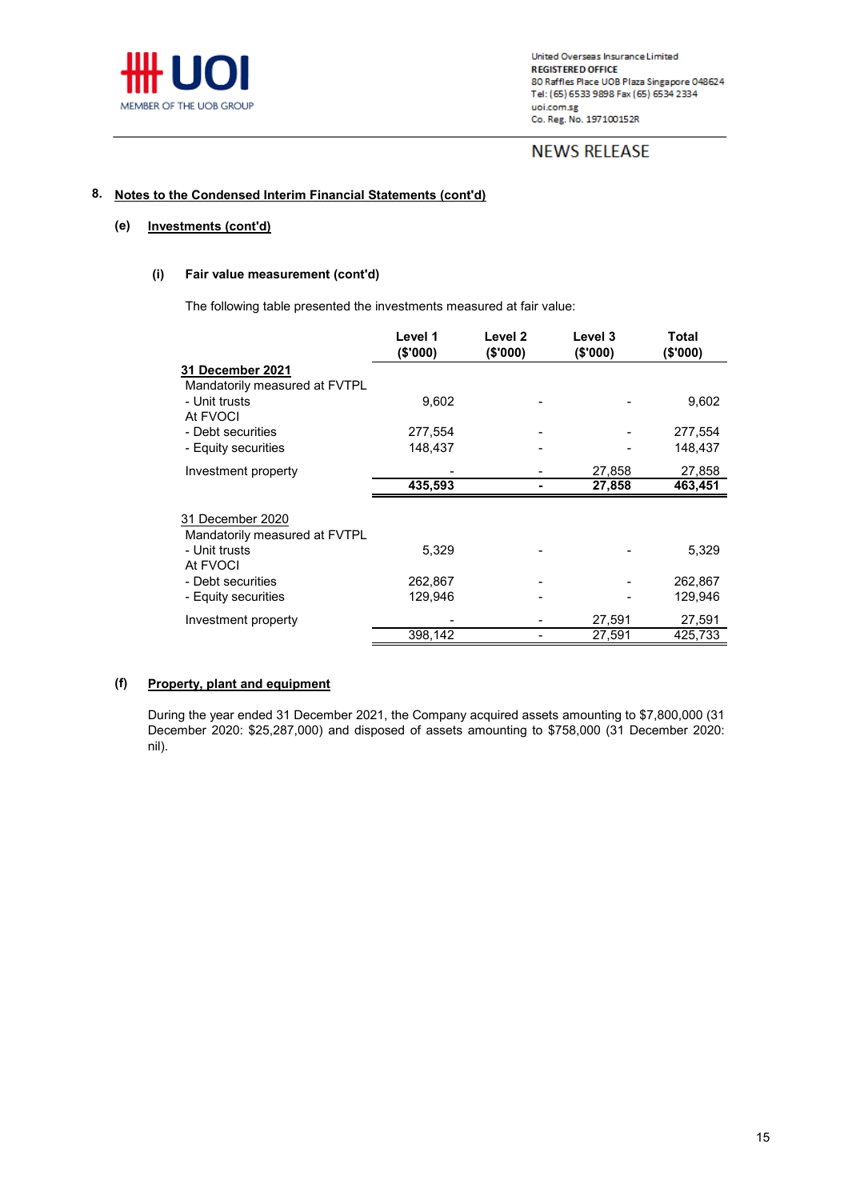

# **NEWS RELEASE**

#### **8. Notes to the Condensed Interim Financial Statements (cont'd)**

#### **(e) Investments (cont'd)**

### **(i) Fair value measurement (cont'd)**

The following table presented the investments measured at fair value:

|                                                   | Level 1<br>(\$'000) | Level 2<br>(\$'000) | Level 3<br>(\$'000) | Total<br>(\$'000) |
|---------------------------------------------------|---------------------|---------------------|---------------------|-------------------|
| <b>31 December 2021</b>                           |                     |                     |                     |                   |
| Mandatorily measured at FVTPL                     |                     |                     |                     |                   |
| - Unit trusts                                     | 9,602               |                     |                     | 9,602             |
| At FVOCI                                          |                     |                     |                     |                   |
| - Debt securities                                 | 277,554             |                     |                     | 277,554           |
| - Equity securities                               | 148,437             |                     |                     | 148,437           |
| Investment property                               |                     |                     | 27,858              | 27,858            |
|                                                   | 435,593             |                     | 27,858              | 463,451           |
| 31 December 2020<br>Mandatorily measured at FVTPL |                     |                     |                     |                   |
| - Unit trusts<br>At FVOCI                         | 5,329               |                     |                     | 5,329             |
| - Debt securities                                 | 262,867             |                     |                     | 262,867           |
| - Equity securities                               | 129,946             |                     |                     | 129,946           |
| Investment property                               |                     |                     | 27,591              | 27,591            |
|                                                   | 398,142             |                     | 27,591              | 425,733           |

#### **(f) Property, plant and equipment**

During the year ended 31 December 2021, the Company acquired assets amounting to \$7,800,000 (31 December 2020: \$25,287,000) and disposed of assets amounting to \$758,000 (31 December 2020: nil).